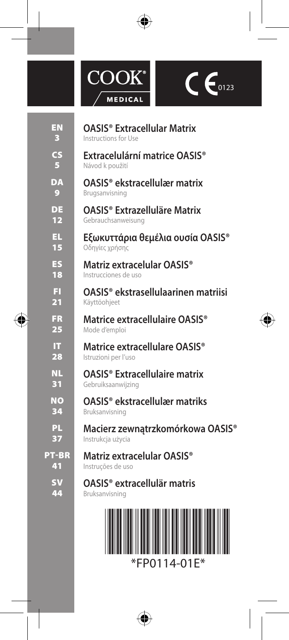





| EN                      | OASIS® Extracellular Matrix                                                                   |
|-------------------------|-----------------------------------------------------------------------------------------------|
| B                       | Instructions for Use                                                                          |
| $\overline{\mathsf{c}}$ | Extracelulární matrice OASIS®                                                                 |
| Б                       | Návod k použití                                                                               |
| DA                      | OASIS® ekstracellulær matrix                                                                  |
| o                       | Brugsanvisning                                                                                |
| DE                      | OASIS® Extrazelluläre Matrix                                                                  |
| 12                      | Gebrauchsanweisung                                                                            |
| EL.                     | Εξωκυττάρια θεμέλια ουσία OASIS®                                                              |
| 15                      | Οδηγίες χρήσης                                                                                |
| ES                      | Matriz extracelular OASIS®                                                                    |
| 18                      | Instrucciones de uso                                                                          |
| п                       | OASIS® ekstrasellulaarinen matriisi                                                           |
| 21                      | Käyttöohjeet                                                                                  |
| FR                      | Matrice extracellulaire OASIS®                                                                |
| 25                      | Mode d'emploi                                                                                 |
| m                       | Matrice extracellulare OASIS®                                                                 |
| 28                      | Istruzioni per l'uso                                                                          |
| NL.                     | OASIS® Extracellulaire matrix                                                                 |
| 31                      | Gebruiksaanwijzing                                                                            |
| <b>NO</b>               | OASIS® ekstracellulær matriks                                                                 |
| 34                      | Bruksanvisning                                                                                |
| PL.                     | Macierz zewnątrzkomórkowa OASIS®                                                              |
| 37                      | Instrukcja użycia                                                                             |
| <b>PT-BR</b>            | Matriz extracelular OASIS®                                                                    |
| 41                      | Instrucões de uso                                                                             |
| <b>SV</b>               | OASIS® extracellulär matris                                                                   |
| 44                      | Bruksanvisning                                                                                |
|                         | <u> 1111   1111   1111   1111   1111   1111   1111   1111   1111   1111   1111   1111   1</u> |

\*FP0114-01E\* \*FP0114-01E\*

 $\bigoplus$ 

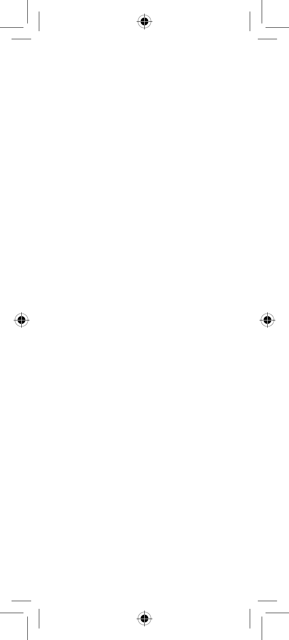



 $\begin{array}{c} \hline \end{array}$ 



 $\overline{\mathcal{C}}$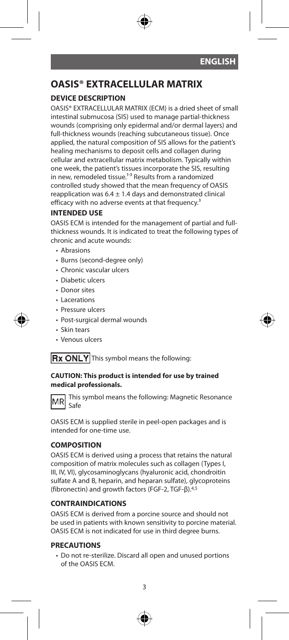

# **OASIS® EXTRACELLULAR MATRIX**

## **DEVICE DESCRIPTION**

OASIS® EXTRACELLULAR MATRIX (ECM) is a dried sheet of small intestinal submucosa (SIS) used to manage partial-thickness wounds (comprising only epidermal and/or dermal layers) and full-thickness wounds (reaching subcutaneous tissue). Once applied, the natural composition of SIS allows for the patient's healing mechanisms to deposit cells and collagen during cellular and extracellular matrix metabolism. Typically within one week, the patient's tissues incorporate the SIS, resulting in new, remodeled tissue.<sup>1-3</sup> Results from a randomized controlled study showed that the mean frequency of OASIS reapplication was  $6.4 \pm 1.4$  days and demonstrated clinical efficacy with no adverse events at that frequency.<sup>3</sup>

## **INTENDED USE**

OASIS ECM is intended for the management of partial and fullthickness wounds. It is indicated to treat the following types of chronic and acute wounds:

- Abrasions
- Burns (second-degree only)
- Chronic vascular ulcers
- Diabetic ulcers
- Donor sites
- Lacerations
- Pressure ulcers
- Post-surgical dermal wounds
- Skin tears
- Venous ulcers

Rx ONLY This symbol means the following:

#### **CAUTION: This product is intended for use by trained medical professionals.**

 This symbol means the following: Magnetic Resonance MR Safe

OASIS ECM is supplied sterile in peel-open packages and is intended for one-time use.

#### **COMPOSITION**

OASIS ECM is derived using a process that retains the natural composition of matrix molecules such as collagen (Types I, III, IV, VI), glycosaminoglycans (hyaluronic acid, chondroitin sulfate A and B, heparin, and heparan sulfate), glycoproteins (fibronectin) and growth factors (FGF-2, TGF-β).4,5

## **CONTRAINDICATIONS**

OASIS ECM is derived from a porcine source and should not be used in patients with known sensitivity to porcine material. OASIS ECM is not indicated for use in third degree burns.

#### **PRECAUTIONS**

• Do not re-sterilize. Discard all open and unused portions of the OASIS ECM.





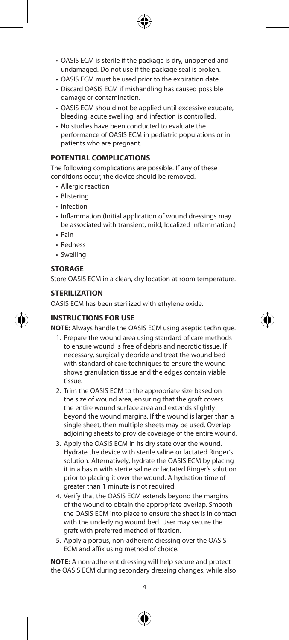

- OASIS ECM is sterile if the package is dry, unopened and undamaged. Do not use if the package seal is broken.
- OASIS ECM must be used prior to the expiration date.
- Discard OASIS ECM if mishandling has caused possible damage or contamination.
- OASIS ECM should not be applied until excessive exudate, bleeding, acute swelling, and infection is controlled.
- No studies have been conducted to evaluate the performance of OASIS ECM in pediatric populations or in patients who are pregnant.

#### **POTENTIAL COMPLICATIONS**

The following complications are possible. If any of these conditions occur, the device should be removed.

- Allergic reaction
- Blistering
- Infection
- Inflammation (Initial application of wound dressings may be associated with transient, mild, localized inflammation.)
- Pain
- Redness
- Swelling

#### **STORAGE**

Store OASIS ECM in a clean, dry location at room temperature.

## **STERILIZATION**

OASIS ECM has been sterilized with ethylene oxide.

#### **INSTRUCTIONS FOR USE**

**NOTE:** Always handle the OASIS ECM using aseptic technique.

- 1. Prepare the wound area using standard of care methods to ensure wound is free of debris and necrotic tissue. If necessary, surgically debride and treat the wound bed with standard of care techniques to ensure the wound shows granulation tissue and the edges contain viable tissue.
- 2. Trim the OASIS ECM to the appropriate size based on the size of wound area, ensuring that the graft covers the entire wound surface area and extends slightly beyond the wound margins. If the wound is larger than a single sheet, then multiple sheets may be used. Overlap adjoining sheets to provide coverage of the entire wound.
- 3. Apply the OASIS ECM in its dry state over the wound. Hydrate the device with sterile saline or lactated Ringer's solution. Alternatively, hydrate the OASIS ECM by placing it in a basin with sterile saline or lactated Ringer's solution prior to placing it over the wound. A hydration time of greater than 1 minute is not required.
- 4. Verify that the OASIS ECM extends beyond the margins of the wound to obtain the appropriate overlap. Smooth the OASIS ECM into place to ensure the sheet is in contact with the underlying wound bed. User may secure the graft with preferred method of fixation.
- 5. Apply a porous, non-adherent dressing over the OASIS ECM and affix using method of choice.

**NOTE:** A non-adherent dressing will help secure and protect the OASIS ECM during secondary dressing changes, while also





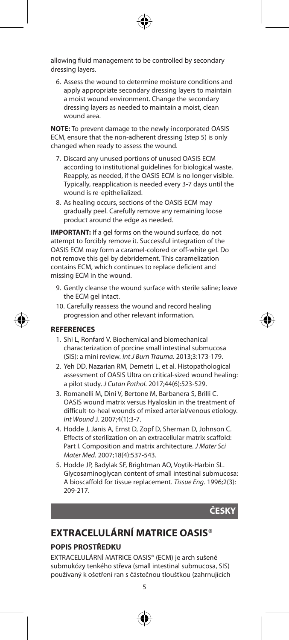

allowing fluid management to be controlled by secondary dressing layers.

6. Assess the wound to determine moisture conditions and apply appropriate secondary dressing layers to maintain a moist wound environment. Change the secondary dressing layers as needed to maintain a moist, clean wound area.

**NOTE:** To prevent damage to the newly-incorporated OASIS ECM, ensure that the non-adherent dressing (step 5) is only changed when ready to assess the wound.

- 7. Discard any unused portions of unused OASIS ECM according to institutional guidelines for biological waste. Reapply, as needed, if the OASIS ECM is no longer visible. Typically, reapplication is needed every 3-7 days until the wound is re-epithelialized.
- 8. As healing occurs, sections of the OASIS ECM may gradually peel. Carefully remove any remaining loose product around the edge as needed.

**IMPORTANT:** If a gel forms on the wound surface, do not attempt to forcibly remove it. Successful integration of the OASIS ECM may form a caramel-colored or off-white gel. Do not remove this gel by debridement. This caramelization contains ECM, which continues to replace deficient and missing ECM in the wound.

- 9. Gently cleanse the wound surface with sterile saline; leave the ECM gel intact.
- 10. Carefully reassess the wound and record healing progression and other relevant information.

#### **REFERENCES**

- 1. Shi L, Ronfard V. Biochemical and biomechanical characterization of porcine small intestinal submucosa (SIS): a mini review. *Int J Burn Trauma.* 2013;3:173-179.
- 2. Yeh DD, Nazarian RM, Demetri L, et al. Histopathological assessment of OASIS Ultra on critical-sized wound healing: a pilot study. *J Cutan Pathol*. 2017;44(6):523-529.
- 3. Romanelli M, Dini V, Bertone M, Barbanera S, Brilli C. OASIS wound matrix versus Hyaloskin in the treatment of difficult-to-heal wounds of mixed arterial/venous etiology. *Int Wound* J. 2007;4(1):3-7.
- 4. Hodde J, Janis A, Ernst D, Zopf D, Sherman D, Johnson C. Effects of sterilization on an extracellular matrix scaffold: Part I. Composition and matrix architecture. *J Mater Sci Mater Med*. 2007;18(4):537-543.
- 5. Hodde JP, Badylak SF, Brightman AO, Voytik-Harbin SL. Glycosaminoglycan content of small intestinal submucosa: A bioscaffold for tissue replacement. *Tissue Eng*. 1996;2(3): 209-217.

**ČESKY**

# **EXTRACELULÁRNÍ MATRICE OASIS®**

## **POPIS PROSTŘEDKU**

EXTRACELULÁRNÍ MATRICE OASIS® (ECM) je arch sušené submukózy tenkého střeva (small intestinal submucosa, SIS) používaný k ošetření ran s částečnou tloušťkou (zahrnujících





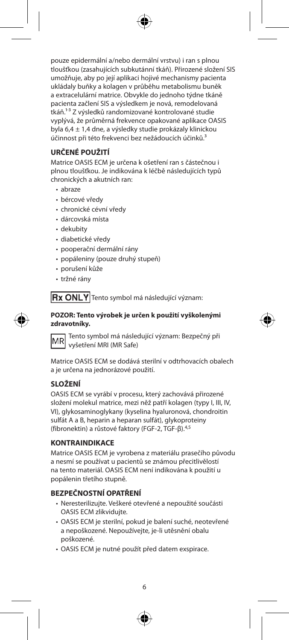

pouze epidermální a/nebo dermální vrstvu) i ran s plnou tloušťkou (zasahujících subkutánní tkáň). Přirozené složení SIS umožňuje, aby po její aplikaci hojivé mechanismy pacienta ukládaly buňky a kolagen v průběhu metabolismu buněk a extracelulární matrice. Obvykle do jednoho týdne tkáně pacienta začlení SIS a výsledkem je nová, remodelovaná tkáň.<sup>1-3</sup> Z výsledků randomizované kontrolované studie vyplývá, že průměrná frekvence opakované aplikace OASIS byla 6,4 ± 1,4 dne, a výsledky studie prokázaly klinickou účinnost při této frekvenci bez nežádoucích účinků.<sup>3</sup>

## **URČENÉ POUŽITÍ**

Matrice OASIS ECM je určena k ošetření ran s částečnou i plnou tloušťkou. Je indikována k léčbě následujících typů chronických a akutních ran:

- abraze
- bércové vředy
- chronické cévní vředy
- dárcovská místa
- dekubity
- diabetické vředy
- pooperační dermální rány
- popáleniny (pouze druhý stupeň)
- porušení kůže
- tržné rány

Rx ONLY Tento symbol má následující význam:

#### **POZOR: Tento výrobek je určen k použití vyškolenými zdravotníky.**

 Tento symbol má následující význam: Bezpečný při MR vyšetření MRI (MR Safe)

Matrice OASIS ECM se dodává sterilní v odtrhovacích obalech a je určena na jednorázové použití.

## **SLOŽENÍ**

OASIS ECM se vyrábí v procesu, který zachovává přirozené složení molekul matrice, mezi něž patří kolagen (typy I, III, IV, VI), glykosaminoglykany (kyselina hyaluronová, chondroitin sulfát A a B, heparin a heparan sulfát), glykoproteiny (fibronektin) a růstové faktory (FGF-2, TGF-β).4,5

#### **KONTRAINDIKACE**

Matrice OASIS ECM je vyrobena z materiálu prasečího původu a nesmí se používat u pacientů se známou přecitlivělostí na tento materiál. OASIS ECM není indikována k použití u popálenin třetího stupně.

## **BEZPEČNOSTNÍ OPATŘENÍ**

- Neresterilizujte. Veškeré otevřené a nepoužité součásti OASIS ECM zlikvidujte.
- OASIS ECM je sterilní, pokud je balení suché, neotevřené a nepoškozené. Nepoužívejte, je-li utěsnění obalu poškozené.
- OASIS ECM je nutné použít před datem exspirace.





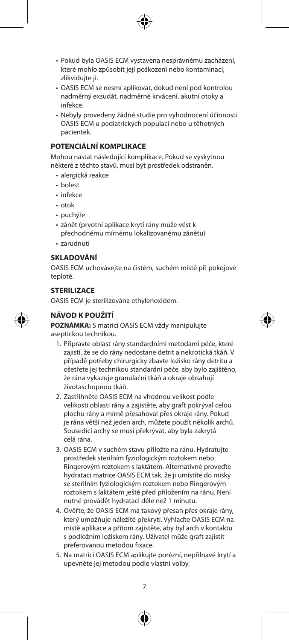

- Pokud byla OASIS ECM vystavena nesprávnému zacházení, které mohlo způsobit její poškození nebo kontaminaci, zlikvidujte ji.
- OASIS ECM se nesmí aplikovat, dokud není pod kontrolou nadměrný exsudát, nadměrné krvácení, akutní otoky a infekce.
- Nebyly provedeny žádné studie pro vyhodnocení účinnosti OASIS ECM u pediatrických populací nebo u těhotných pacientek.

## **POTENCIÁLNÍ KOMPLIKACE**

Mohou nastat následující komplikace. Pokud se vyskytnou některé z těchto stavů, musí být prostředek odstraněn.

- alergická reakce
- bolest
- infekce
- otok
- puchýře
- zánět (prvotní aplikace krytí rány může vést k přechodnému mírnému lokalizovanému zánětu)
- zarudnutí

#### **SKLADOVÁNÍ**

OASIS ECM uchovávejte na čistém, suchém místě při pokojové teplotě.

#### **STERILIZACE**

OASIS ECM je sterilizována ethylenoxidem.

#### **NÁVOD K POUŽITÍ**

**POZNÁMKA:** S matricí OASIS ECM vždy manipulujte aseptickou technikou.

- 1. Připravte oblast rány standardními metodami péče, které zajistí, že se do rány nedostane detrit a nekrotická tkáň. V případě potřeby chirurgicky zbavte ložisko rány detritu a ošetřete jej technikou standardní péče, aby bylo zajištěno, že rána vykazuje granulační tkáň a okraje obsahují životaschopnou tkáň.
- 2. Zastřihněte OASIS ECM na vhodnou velikost podle velikosti oblasti rány a zajistěte, aby graft pokrýval celou plochu rány a mírně přesahoval přes okraje rány. Pokud je rána větší než jeden arch, můžete použít několik archů. Sousedící archy se musí překrývat, aby byla zakrytá celá rána.
- 3. OASIS ECM v suchém stavu přiložte na ránu. Hydratujte prostředek sterilním fyziologickým roztokem nebo Ringerovým roztokem s laktátem. Alternativně proveďte hydrataci matrice OASIS ECM tak, že ji umístíte do misky se sterilním fyziologickým roztokem nebo Ringerovým roztokem s laktátem ještě před přiložením na ránu. Není nutné provádět hydrataci déle než 1 minutu.
- 4. Ověřte, že OASIS ECM má takový přesah přes okraje rány, který umožňuje náležité překrytí. Vyhlaďte OASIS ECM na místě aplikace a přitom zajistěte, aby byl arch v kontaktu s podložním ložiskem rány. Uživatel může graft zajistit preferovanou metodou fixace.
- 5. Na matrici OASIS ECM aplikujte porézní, nepřilnavé krytí a upevněte jej metodou podle vlastní volby.





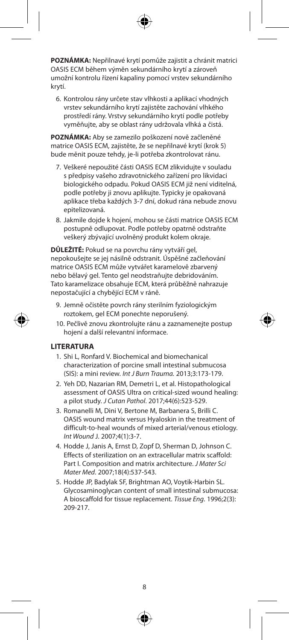

**POZNÁMKA:** Nepřilnavé krytí pomůže zajistit a chránit matrici OASIS ECM během výměn sekundárního krytí a zároveň umožní kontrolu řízení kapaliny pomocí vrstev sekundárního krytí.

6. Kontrolou rány určete stav vlhkosti a aplikací vhodných vrstev sekundárního krytí zajistěte zachování vlhkého prostředí rány. Vrstvy sekundárního krytí podle potřeby vyměňujte, aby se oblast rány udržovala vlhká a čistá.

**POZNÁMKA:** Aby se zamezilo poškození nově začleněné matrice OASIS ECM, zajistěte, že se nepřilnavé krytí (krok 5) bude měnit pouze tehdy, je-li potřeba zkontrolovat ránu.

- 7. Veškeré nepoužité části OASIS ECM zlikvidujte v souladu s předpisy vašeho zdravotnického zařízení pro likvidaci biologického odpadu. Pokud OASIS ECM již není viditelná, podle potřeby ji znovu aplikujte. Typicky je opakovaná aplikace třeba každých 3-7 dní, dokud rána nebude znovu epitelizovaná.
- 8. Jakmile dojde k hojení, mohou se části matrice OASIS ECM postupně odlupovat. Podle potřeby opatrně odstraňte veškerý zbývající uvolněný produkt kolem okraje.

**DŮLEŽITÉ:** Pokud se na povrchu rány vytváří gel, nepokoušejte se jej násilně odstranit. Úspěšné začleňování matrice OASIS ECM může vytvářet karamelově zbarvený nebo bělavý gel. Tento gel neodstraňujte debridováním. Tato karamelizace obsahuje ECM, která průběžně nahrazuje nepostačující a chybějící ECM v ráně.

- 9. Jemně očistěte povrch rány sterilním fyziologickým roztokem, gel ECM ponechte neporušený.
- 10. Pečlivě znovu zkontrolujte ránu a zaznamenejte postup hojení a další relevantní informace.

#### **LITERATURA**

- 1. Shi L, Ronfard V. Biochemical and biomechanical characterization of porcine small intestinal submucosa (SIS): a mini review. *Int J Burn Trauma.* 2013;3:173-179.
- 2. Yeh DD, Nazarian RM, Demetri L, et al. Histopathological assessment of OASIS Ultra on critical-sized wound healing: a pilot study. *J Cutan Pathol*. 2017;44(6):523-529.
- 3. Romanelli M, Dini V, Bertone M, Barbanera S, Brilli C. OASIS wound matrix versus Hyaloskin in the treatment of difficult-to-heal wounds of mixed arterial/venous etiology. *Int Wound* J. 2007;4(1):3-7.
- 4. Hodde J, Janis A, Ernst D, Zopf D, Sherman D, Johnson C. Effects of sterilization on an extracellular matrix scaffold: Part I. Composition and matrix architecture. *J Mater Sci Mater Med*. 2007;18(4):537-543.
- 5. Hodde JP, Badylak SF, Brightman AO, Voytik-Harbin SL. Glycosaminoglycan content of small intestinal submucosa: A bioscaffold for tissue replacement. *Tissue Eng*. 1996;2(3): 209-217.





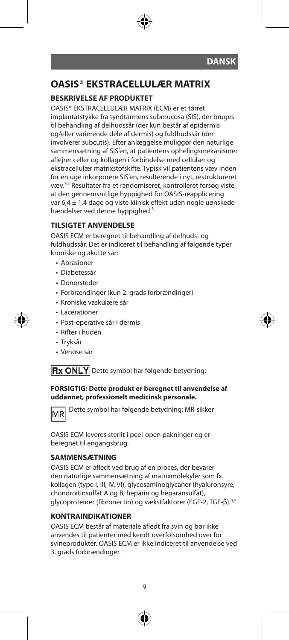

# **OASIS® EKSTRACELLULÆR MATRIX**

## **BESKRIVELSE AF PRODUKTET**

OASIS® EKSTRACELLULÆR MATRIX (ECM) er et tørret implantatstykke fra tyndtarmens submucosa (SIS), der bruges til behandling af delhudssår (der kun består af epidermis og/eller varierende dele af dermis) og fuldhudssår (der involverer subcutis). Efter anlæggelse muliggør den naturlige sammensætning af SIS'en, at patientens ophelingsmekanismer aflejrer celler og kollagen i forbindelse med cellulær og ekstracellulær matrixstofskifte. Typisk vil patientens væv inden for en uge inkorporere SIS'en, resulterende i nyt, restruktureret væv.1-3 Resultater fra et randomiseret, kontrolleret forsøg viste, at den gennemsnitlige hyppighed for OASIS-reapplicering var 6,4 ± 1,4 dage og viste klinisk effekt uden nogle uønskede hændelser ved denne hyppighed.<sup>3</sup>

## **TILSIGTET ANVENDELSE**

OASIS ECM er beregnet til behandling af delhuds- og fuldhudssår. Det er indiceret til behandling af følgende typer kroniske og akutte sår:

- Abrasioner
- Diabetessår
- Donorsteder
- Forbrændinger (kun 2. grads forbrændinger)
- Kroniske vaskulære sår
- Lacerationer
- Post-operative sår i dermis
- Rifter i huden
- Tryksår
- Venøse sår

Rx ONLY Dette symbol har følgende betydning:

#### **FORSIGTIG: Dette produkt er beregnet til anvendelse af uddannet, professionelt medicinsk personale.**



Dette symbol har følgende betydning: MR-sikker

OASIS ECM leveres sterilt i peel-open pakninger og er beregnet til engangsbrug.

## **SAMMENSÆTNING**

OASIS ECM er afledt ved brug af en proces, der bevarer den naturlige sammensætning af matrixmolekyler som fx. kollagen (type I, III, IV, VI), glycosaminoglycaner (hyaluronsyre, chondroitinsulfat A og B, heparin og heparansulfat), glycoproteiner (fibronectin) og vækstfaktorer (FGF-2, TGF-β).4,5

## **KONTRAINDIKATIONER**

OASIS ECM består af materiale afledt fra svin og bør ikke anvendes til patienter med kendt overfølsomhed over for svineprodukter. OASIS ECM er ikke indiceret til anvendelse ved 3. grads forbrændinger.





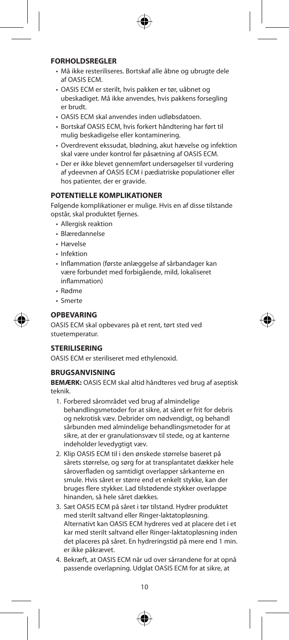

## **FORHOLDSREGLER**

- Må ikke resteriliseres. Bortskaf alle åbne og ubrugte dele af OASIS ECM.
- OASIS ECM er sterilt, hvis pakken er tør, uåbnet og ubeskadiget. Må ikke anvendes, hvis pakkens forsegling er brudt.
- OASIS ECM skal anvendes inden udløbsdatoen.
- Bortskaf OASIS ECM, hvis forkert håndtering har ført til mulig beskadigelse eller kontaminering.
- Overdrevent ekssudat, blødning, akut hævelse og infektion skal være under kontrol før påsætning af OASIS ECM.
- Der er ikke blevet gennemført undersøgelser til vurdering af ydeevnen af OASIS ECM i pædiatriske populationer eller hos patienter, der er gravide.

## **POTENTIELLE KOMPLIKATIONER**

Følgende komplikationer er mulige. Hvis en af disse tilstande opstår, skal produktet fjernes.

- Allergisk reaktion
- Blæredannelse
- Hævelse
- Infektion
- Inflammation (første anlæggelse af sårbandager kan være forbundet med forbigående, mild, lokaliseret inflammation)
- Rødme
- Smerte



#### **OPBEVARING**

OASIS ECM skal opbevares på et rent, tørt sted ved stuetemperatur.

## **STERILISERING**

OASIS ECM er steriliseret med ethylenoxid.

### **BRUGSANVISNING**

**BEMÆRK:** OASIS ECM skal altid håndteres ved brug af aseptisk teknik.

- 1. Forbered sårområdet ved brug af almindelige behandlingsmetoder for at sikre, at såret er frit for debris og nekrotisk væv. Debrider om nødvendigt, og behandl sårbunden med almindelige behandlingsmetoder for at sikre, at der er granulationsvæv til stede, og at kanterne indeholder levedygtigt væv.
- 2. Klip OASIS ECM til i den ønskede størrelse baseret på sårets størrelse, og sørg for at transplantatet dækker hele såroverfladen og samtidigt overlapper sårkanterne en smule. Hvis såret er større end et enkelt stykke, kan der bruges flere stykker. Lad tilstødende stykker overlappe hinanden, så hele såret dækkes.
- 3. Sæt OASIS ECM på såret i tør tilstand. Hydrer produktet med sterilt saltvand eller Ringer-laktatopløsning. Alternativt kan OASIS ECM hydreres ved at placere det i et kar med sterilt saltvand eller Ringer-laktatopløsning inden det placeres på såret. En hydreringstid på mere end 1 min. er ikke påkrævet.
- 4. Bekræft, at OASIS ECM når ud over sårrandene for at opnå passende overlapning. Udglat OASIS ECM for at sikre, at



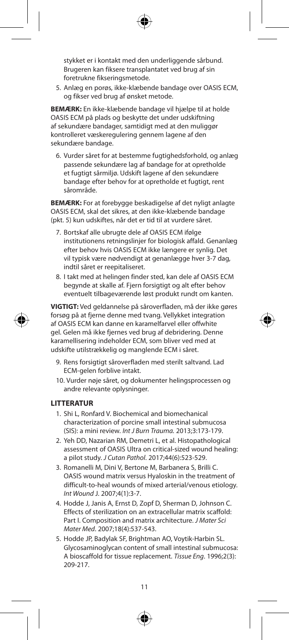

stykket er i kontakt med den underliggende sårbund. Brugeren kan fiksere transplantatet ved brug af sin foretrukne fikseringsmetode.

5. Anlæg en porøs, ikke-klæbende bandage over OASIS ECM, og fikser ved brug af ønsket metode.

**BEMÆRK:** En ikke-klæbende bandage vil hjælpe til at holde OASIS ECM på plads og beskytte det under udskiftning af sekundære bandager, samtidigt med at den muliggør kontrolleret væskeregulering gennem lagene af den sekundære bandage.

6. Vurder såret for at bestemme fugtighedsforhold, og anlæg passende sekundære lag af bandage for at opretholde et fugtigt sårmiljø. Udskift lagene af den sekundære bandage efter behov for at opretholde et fugtigt, rent sårområde.

**BEMÆRK:** For at forebygge beskadigelse af det nyligt anlagte OASIS ECM, skal det sikres, at den ikke-klæbende bandage (pkt. 5) kun udskiftes, når det er tid til at vurdere såret.

- 7. Bortskaf alle ubrugte dele af OASIS ECM ifølge institutionens retningslinjer for biologisk affald. Genanlæg efter behov hvis OASIS ECM ikke længere er synlig. Det vil typisk være nødvendigt at genanlægge hver 3-7 dag, indtil såret er reepitaliseret.
- 8. I takt med at helingen finder sted, kan dele af OASIS ECM begynde at skalle af. Fjern forsigtigt og alt efter behov eventuelt tilbageværende løst produkt rundt om kanten.

**VIGTIGT:** Ved geldannelse på såroverfladen, må der ikke gøres forsøg på at fjerne denne med tvang. Vellykket integration af OASIS ECM kan danne en karamelfarvel eller offwhite gel. Gelen må ikke fjernes ved brug af debridering. Denne karamellisering indeholder ECM, som bliver ved med at udskifte utilstrækkelig og manglende ECM i såret.

- 9. Rens forsigtigt såroverfladen med sterilt saltvand. Lad ECM-gelen forblive intakt.
- 10. Vurder nøje såret, og dokumenter helingsprocessen og andre relevante oplysninger.

#### **LITTERATUR**

- 1. Shi L, Ronfard V. Biochemical and biomechanical characterization of porcine small intestinal submucosa (SIS): a mini review. *Int J Burn Trauma.* 2013;3:173-179.
- 2. Yeh DD, Nazarian RM, Demetri L, et al. Histopathological assessment of OASIS Ultra on critical-sized wound healing: a pilot study. *J Cutan Pathol*. 2017;44(6):523-529.
- 3. Romanelli M, Dini V, Bertone M, Barbanera S, Brilli C. OASIS wound matrix versus Hyaloskin in the treatment of difficult-to-heal wounds of mixed arterial/venous etiology. *Int Wound* J. 2007;4(1):3-7.
- 4. Hodde J, Janis A, Ernst D, Zopf D, Sherman D, Johnson C. Effects of sterilization on an extracellular matrix scaffold: Part I. Composition and matrix architecture. *J Mater Sci Mater Med*. 2007;18(4):537-543.
- 5. Hodde JP, Badylak SF, Brightman AO, Voytik-Harbin SL. Glycosaminoglycan content of small intestinal submucosa: A bioscaffold for tissue replacement. *Tissue Eng*. 1996;2(3): 209-217.





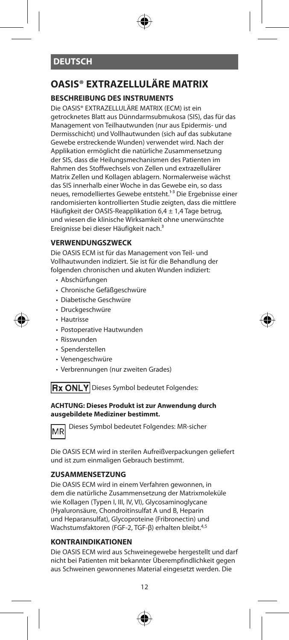

# **DEUTSCH**

# **OASIS® EXTRAZELLULÄRE MATRIX**

## **BESCHREIBUNG DES INSTRUMENTS**

Die OASIS® EXTRAZELLULÄRE MATRIX (ECM) ist ein getrocknetes Blatt aus Dünndarmsubmukosa (SIS), das für das Management von Teilhautwunden (nur aus Epidermis- und Dermisschicht) und Vollhautwunden (sich auf das subkutane Gewebe erstreckende Wunden) verwendet wird. Nach der Applikation ermöglicht die natürliche Zusammensetzung der SIS, dass die Heilungsmechanismen des Patienten im Rahmen des Stoffwechsels von Zellen und extrazellulärer Matrix Zellen und Kollagen ablagern. Normalerweise wächst das SIS innerhalb einer Woche in das Gewebe ein, so dass neues, remodelliertes Gewebe entsteht.<sup>1-3</sup> Die Ergebnisse einer randomisierten kontrollierten Studie zeigten, dass die mittlere Häufigkeit der OASIS-Reapplikation 6,4 ± 1,4 Tage betrug, und wiesen die klinische Wirksamkeit ohne unerwünschte Ereignisse bei dieser Häufigkeit nach.<sup>3</sup>

## **VERWENDUNGSZWECK**

Die OASIS ECM ist für das Management von Teil- und Vollhautwunden indiziert. Sie ist für die Behandlung der folgenden chronischen und akuten Wunden indiziert:

- Abschürfungen
- Chronische Gefäßgeschwüre
- Diabetische Geschwüre
- Druckgeschwüre
- Hautrisse
- Postoperative Hautwunden
- Risswunden
- Spenderstellen
- Venengeschwüre
- Verbrennungen (nur zweiten Grades)

Rx ONLY Dieses Symbol bedeutet Folgendes:

#### **ACHTUNG: Dieses Produkt ist zur Anwendung durch ausgebildete Mediziner bestimmt.**



Dieses Symbol bedeutet Folgendes: MR-sicher

Die OASIS ECM wird in sterilen Aufreißverpackungen geliefert und ist zum einmaligen Gebrauch bestimmt.

#### **ZUSAMMENSETZUNG**

Die OASIS ECM wird in einem Verfahren gewonnen, in dem die natürliche Zusammensetzung der Matrixmoleküle wie Kollagen (Typen I, III, IV, VI), Glycosaminoglycane (Hyaluronsäure, Chondroitinsulfat A und B, Heparin und Heparansulfat), Glycoproteine (Fribronectin) und Wachstumsfaktoren (FGF-2, TGF-β) erhalten bleibt.<sup>4,5</sup>

#### **KONTRAINDIKATIONEN**

Die OASIS ECM wird aus Schweinegewebe hergestellt und darf nicht bei Patienten mit bekannter Überempfindlichkeit gegen aus Schweinen gewonnenes Material eingesetzt werden. Die





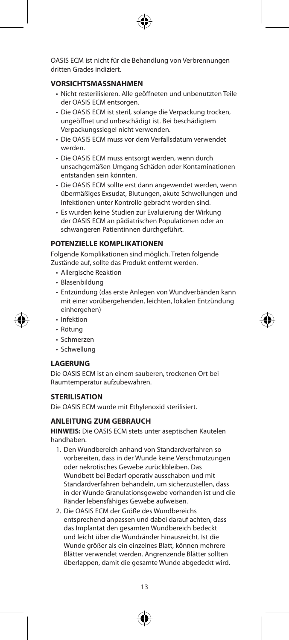

OASIS ECM ist nicht für die Behandlung von Verbrennungen dritten Grades indiziert.

### **VORSICHTSMASSNAHMEN**

- Nicht resterilisieren. Alle geöffneten und unbenutzten Teile der OASIS ECM entsorgen.
- Die OASIS ECM ist steril, solange die Verpackung trocken, ungeöffnet und unbeschädigt ist. Bei beschädigtem Verpackungssiegel nicht verwenden.
- Die OASIS ECM muss vor dem Verfallsdatum verwendet werden.
- Die OASIS ECM muss entsorgt werden, wenn durch unsachgemäßen Umgang Schäden oder Kontaminationen entstanden sein könnten.
- Die OASIS ECM sollte erst dann angewendet werden, wenn übermäßiges Exsudat, Blutungen, akute Schwellungen und Infektionen unter Kontrolle gebracht worden sind.
- Es wurden keine Studien zur Evaluierung der Wirkung der OASIS ECM an pädiatrischen Populationen oder an schwangeren Patientinnen durchgeführt.

#### **POTENZIELLE KOMPLIKATIONEN**

Folgende Komplikationen sind möglich. Treten folgende Zustände auf, sollte das Produkt entfernt werden.

- Allergische Reaktion
- Blasenbildung
- Entzündung (das erste Anlegen von Wundverbänden kann mit einer vorübergehenden, leichten, lokalen Entzündung einhergehen)
- Infektion
- Rötung
- Schmerzen
- Schwellung

#### **LAGERUNG**

Die OASIS ECM ist an einem sauberen, trockenen Ort bei Raumtemperatur aufzubewahren.

#### **STERILISATION**

Die OASIS ECM wurde mit Ethylenoxid sterilisiert.

#### **ANLEITUNG ZUM GEBRAUCH**

**HINWEIS:** Die OASIS ECM stets unter aseptischen Kautelen handhaben.

- 1. Den Wundbereich anhand von Standardverfahren so vorbereiten, dass in der Wunde keine Verschmutzungen oder nekrotisches Gewebe zurückbleiben. Das Wundbett bei Bedarf operativ ausschaben und mit Standardverfahren behandeln, um sicherzustellen, dass in der Wunde Granulationsgewebe vorhanden ist und die Ränder lebensfähiges Gewebe aufweisen.
- 2. Die OASIS ECM der Größe des Wundbereichs entsprechend anpassen und dabei darauf achten, dass das Implantat den gesamten Wundbereich bedeckt und leicht über die Wundränder hinausreicht. Ist die Wunde größer als ein einzelnes Blatt, können mehrere Blätter verwendet werden. Angrenzende Blätter sollten überlappen, damit die gesamte Wunde abgedeckt wird.





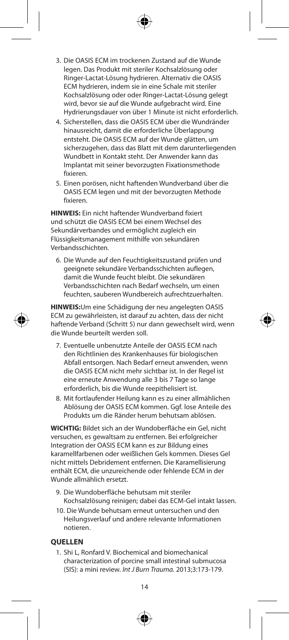

- 3. Die OASIS ECM im trockenen Zustand auf die Wunde legen. Das Produkt mit steriler Kochsalzlösung oder Ringer-Lactat-Lösung hydrieren. Alternativ die OASIS ECM hydrieren, indem sie in eine Schale mit steriler Kochsalzlösung oder oder Ringer-Lactat-Lösung gelegt wird, bevor sie auf die Wunde aufgebracht wird. Eine Hydrierungsdauer von über 1 Minute ist nicht erforderlich.
- 4. Sicherstellen, dass die OASIS ECM über die Wundränder hinausreicht, damit die erforderliche Überlappung entsteht. Die OASIS ECM auf der Wunde glätten, um sicherzugehen, dass das Blatt mit dem darunterliegenden Wundbett in Kontakt steht. Der Anwender kann das Implantat mit seiner bevorzugten Fixationsmethode fixieren.
- 5. Einen porösen, nicht haftenden Wundverband über die OASIS ECM legen und mit der bevorzugten Methode fixieren.

**HINWEIS:** Ein nicht haftender Wundverband fixiert und schützt die OASIS ECM bei einem Wechsel des Sekundärverbandes und ermöglicht zugleich ein Flüssigkeitsmanagement mithilfe von sekundären Verbandsschichten.

6. Die Wunde auf den Feuchtigkeitszustand prüfen und geeignete sekundäre Verbandsschichten auflegen, damit die Wunde feucht bleibt. Die sekundären Verbandsschichten nach Bedarf wechseln, um einen feuchten, sauberen Wundbereich aufrechtzuerhalten.

**HINWEIS:**Um eine Schädigung der neu angelegten OASIS ECM zu gewährleisten, ist darauf zu achten, dass der nicht haftende Verband (Schritt 5) nur dann gewechselt wird, wenn die Wunde beurteilt werden soll.

- 7. Eventuelle unbenutzte Anteile der OASIS ECM nach den Richtlinien des Krankenhauses für biologischen Abfall entsorgen. Nach Bedarf erneut anwenden, wenn die OASIS ECM nicht mehr sichtbar ist. In der Regel ist eine erneute Anwendung alle 3 bis 7 Tage so lange erforderlich, bis die Wunde reepithelisiert ist.
- 8. Mit fortlaufender Heilung kann es zu einer allmählichen Ablösung der OASIS ECM kommen. Ggf. lose Anteile des Produkts um die Ränder herum behutsam ablösen.

**WICHTIG:** Bildet sich an der Wundoberfläche ein Gel, nicht versuchen, es gewaltsam zu entfernen. Bei erfolgreicher Integration der OASIS ECM kann es zur Bildung eines karamellfarbenen oder weißlichen Gels kommen. Dieses Gel nicht mittels Debridement entfernen. Die Karamellisierung enthält ECM, die unzureichende oder fehlende ECM in der Wunde allmählich ersetzt.

- 9. Die Wundoberfläche behutsam mit steriler Kochsalzlösung reinigen; dabei das ECM-Gel intakt lassen.
- 10. Die Wunde behutsam erneut untersuchen und den Heilungsverlauf und andere relevante Informationen notieren.

#### **QUELLEN**

1. Shi L, Ronfard V. Biochemical and biomechanical characterization of porcine small intestinal submucosa (SIS): a mini review. *Int J Burn Trauma.* 2013;3:173-179.





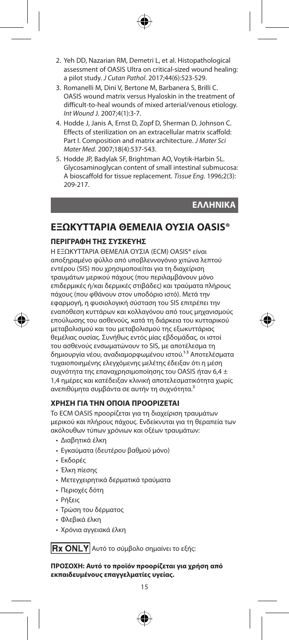

- 2. Yeh DD, Nazarian RM, Demetri L, et al. Histopathological assessment of OASIS Ultra on critical-sized wound healing: a pilot study. *J Cutan Pathol*. 2017;44(6):523-529.
- 3. Romanelli M, Dini V, Bertone M, Barbanera S, Brilli C. OASIS wound matrix versus Hyaloskin in the treatment of difficult-to-heal wounds of mixed arterial/venous etiology. *Int Wound* J. 2007;4(1):3-7.
- 4. Hodde J, Janis A, Ernst D, Zopf D, Sherman D, Johnson C. Effects of sterilization on an extracellular matrix scaffold: Part I. Composition and matrix architecture. *J Mater Sci Mater Med*. 2007;18(4):537-543.
- 5. Hodde JP, Badylak SF, Brightman AO, Voytik-Harbin SL. Glycosaminoglycan content of small intestinal submucosa: A bioscaffold for tissue replacement. *Tissue Eng*. 1996;2(3): 209-217.

## **ΕΛΛΗΝΙΚΑ**

# **ΕΞΩΚΥΤΤΑΡΙΑ ΘΕΜΕΛΙΑ ΟΥΣΙΑ OASIS® ΠΕΡΙΓΡΑΦΗ ΤΗΣ ΣΥΣΚΕΥΗΣ**

Η ΕΞΩΚΥΤΤΑΡΙΑ ΘΕΜΕΛΙΑ ΟΥΣΙΑ (ECM) OASIS® είναι αποξηραμένο φύλλο από υποβλεννογόνιο χιτώνα λεπτού εντέρου (SIS) που χρησιμοποιείται για τη διαχείριση τραυμάτων μερικού πάχους (που περιλαμβάνουν μόνο επιδερμικές ή/και δερμικές στιβάδες) και τραύματα πλήρους πάχους (που φθάνουν στον υποδόριο ιστό). Μετά την εφαρμογή, η φυσιολογική σύσταση του SIS επιτρέπει την εναπόθεση κυττάρων και κολλαγόνου από τους μηχανισμούς επούλωσης του ασθενούς, κατά τη διάρκεια του κυτταρικού μεταβολισμού και του μεταβολισμού της εξωκυττάριας θεμέλιας ουσίας. Συνήθως εντός μίας εβδομάδας, οι ιστοί του ασθενούς ενσωματώνουν το SIS, με αποτέλεσμα τη δημιουργία νέου, αναδιαμορφωμένου ιστού.1-3 Αποτελέσματα τυχαιοποιημένης ελεγχόμενης μελέτης έδειξαν ότι η μέση συχνότητα της επαναχρησιμοποίησης του OASIS ήταν 6,4 ± 1,4 ημέρες και κατέδειξαν κλινική αποτελεσματικότητα χωρίς ανεπιθύμητα συμβάντα σε αυτήν τη συχνότητα.3

### **ΧΡΗΣΗ ΓΙΑ ΤΗΝ ΟΠΟΙΑ ΠΡΟΟΡΙΖΕΤΑΙ**

Το ECM OASIS προορίζεται για τη διαχείριση τραυμάτων μερικού και πλήρους πάχους. Ενδείκνυται για τη θεραπεία των ακόλουθων τύπων χρόνιων και οξέων τραυμάτων:

- Διαβητικά έλκη
- Εγκαύματα (δευτέρου βαθμού μόνο)
- Εκδορές
- Έλκη πίεσης
- Μετεγχειρητικά δερματικά τραύματα
- Περιοχές δότη
- Ρήξεις
- Τρώση του δέρματος
- Φλεβικά έλκη
- Χρόνια αγγειακά έλκη

Rx ONLY Αυτό το σύμβολο σημαίνει το εξής:

**ΠΡΟΣΟΧΗ: Αυτό το προϊόν προορίζεται για χρήση από εκπαιδευμένους επαγγελματίες υγείας.**







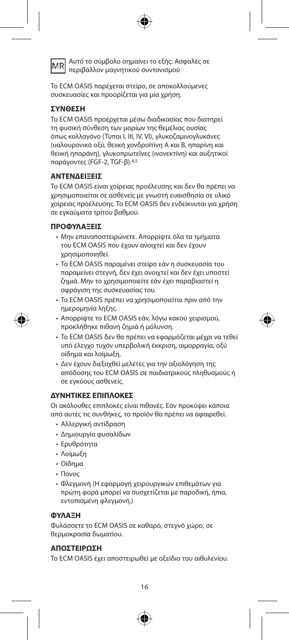



 Αυτό το σύμβολο σημαίνει το εξής: Ασφαλές σε περιβάλλον μαγνητικού συντονισμού

Το ECM OASIS παρέχεται στείρο, σε αποκολλούμενες συσκευασίες και προορίζεται για μία χρήση.

## **ΣΥΝΘΕΣΗ**

Το ECM OASIS προέρχεται μέσω διαδικασίας που διατηρεί τη φυσική σύνθεση των μορίων της θεμέλιας ουσίας όπως κολλαγόνο (Τύποι Ι, III, IV, VI), γλυκοζαμινογλυκάνες (υαλουρονικό οξύ, θειική χονδροϊτίνη Α και Β, ηπαρίνη και θειική ηπαράνη), γλυκοπρωτεΐνες (ινονεκτίνη) και αυξητικοί παράγοντες (FGF-2, TGF-β).4,5

#### **ΑΝΤΕΝΔΕΙΞΕΙΣ**

Το ECM OASIS είναι χοίρειας προέλευσης και δεν θα πρέπει να χρησιμοποιείται σε ασθενείς με γνωστή ευαισθησία σε υλικό χοίρειας προέλευσης. Το ECM OASIS δεν ενδείκνυται για χρήση σε εγκαύματα τρίτου βαθμού.

#### **ΠΡΟΦΥΛΑΞΕΙΣ**

- Μην επαναποστειρώνετε. Απορρίψτε όλα τα τμήματα του ECM OASIS που έχουν ανοιχτεί και δεν έχουν χρησιμοποιηθεί.
- Το ECM OASIS παραμένει στείρο εάν η συσκευασία του παραμείνει στεγνή, δεν έχει ανοιχτεί και δεν έχει υποστεί ζημιά. Μην το χρησιμοποιείτε εάν έχει παραβιαστεί η σφράγιση της συσκευασίας του.
- Το ECM OASIS πρέπει να χρησιμοποιείται πριν από την ημερομηνία λήξης.
- Απορρίψτε το ECM OASIS εάν, λόγω κακού χειρισμού, προκλήθηκε πιθανή ζημιά ή μόλυνση.
- Το ECM OASIS δεν θα πρέπει να εφαρμόζεται μέχρι να τεθεί υπό έλεγχο τυχόν υπερβολική έκκριση, αιμορραγία, οξύ οίδημα και λοίμωξη.
- Δεν έχουν διεξαχθεί μελέτες για την αξιολόγηση της απόδοσης του ECM OASIS σε παιδιατρικούς πληθυσμούς ή σε εγκύους ασθενείς.

### **ΔΥΝΗΤΙΚΕΣ ΕΠΙΠΛΟΚΕΣ**

Οι ακόλουθες επιπλοκές είναι πιθανές. Εάν προκύψει κάποια από αυτές τις συνθήκες, το προϊόν θα πρέπει να αφαιρεθεί.

- Αλλεργική αντίδραση
- Δημιουργία φυσαλίδων
- Ερυθρότητα
- Λοίμωξη
- Οίδημα
- Πόνος
- Φλεγμονή (Η εφαρμογή χειρουργικών επιθεμάτων για πρώτη φορά μπορεί να συσχετίζεται με παροδική, ήπια, εντοπισμένη φλεγμονή.)

#### **ΦΥΛΑΞΗ**

Φυλάσσετε το ECM OASIS σε καθαρό, στεγνό χώρο, σε θερμοκρασία δωματίου.

#### **ΑΠΟΣΤΕΙΡΩΣΗ**

Το ECM OASIS έχει αποστειρωθεί με οξείδιο του αιθυλενίου.



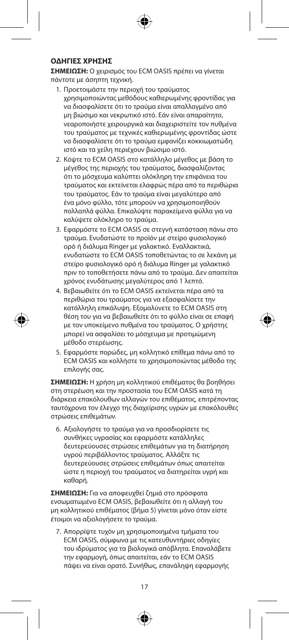

## **ΟΔΗΓΙΕΣ ΧΡΗΣΗΣ**

**ΣΗΜΕΙΩΣΗ:** Ο χειρισμός του ECM OASIS πρέπει να γίνεται πάντοτε με άσηπτη τεχνική.

- 1. Προετοιμάστε την περιοχή του τραύματος χρησιμοποιώντας μεθόδους καθιερωμένης φροντίδας για να διασφαλίσετε ότι το τραύμα είναι απαλλαγμένο από μη βιώσιμο και νεκρωτικό ιστό. Εάν είναι απαραίτητο, νεαροποιήστε χειρουργικά και διαχειριστείτε τον πυθμένα του τραύματος με τεχνικές καθιερωμένης φροντίδας ώστε να διασφαλίσετε ότι το τραύμα εμφανίζει κοκκιωματώδη ιστό και τα χείλη περιέχουν βιώσιμο ιστό.
- 2. Κόψτε το ECM OASIS στο κατάλληλο μέγεθος με βάση το μέγεθος της περιοχής του τραύματος, διασφαλίζοντας ότι το μόσχευμα καλύπτει ολόκληρη την επιφάνεια του τραύματος και εκτείνεται ελαφρώς πέρα από τα περιθώρια του τραύματος. Εάν το τραύμα είναι μεγαλύτερο από ένα μόνο φύλλο, τότε μπορούν να χρησιμοποιηθούν πολλαπλά φύλλα. Επικαλύψτε παρακείμενα φύλλα για να καλύψετε ολόκληρο το τραύμα.
- 3. Εφαρμόστε το ECM OASIS σε στεγνή κατάσταση πάνω στο τραύμα. Ενυδατώστε το προϊόν με στείρο φυσιολογικό ορό ή διάλυμα Ringer με γαλακτικό. Εναλλακτικά, ενυδατώστε το ECM OASIS τοποθετώντας το σε λεκάνη με στείρο φυσιολογικό ορό ή διάλυμα Ringer με γαλακτικό πριν το τοποθετήσετε πάνω από το τραύμα. Δεν απαιτείται χρόνος ενυδάτωσης μεγαλύτερος από 1 λεπτό.
- 4. Βεβαιωθείτε ότι το ECM OASIS εκτείνεται πέρα από τα περιθώρια του τραύματος για να εξασφαλίσετε την κατάλληλη επικάλυψη. Εξομαλύνετε το ECM OASIS στη θέση του για να βεβαιωθείτε ότι το φύλλο είναι σε επαφή με τον υποκείμενο πυθμένα του τραύματος. Ο χρήστης μπορεί να ασφαλίσει το μόσχευμα με προτιμώμενη μέθοδο στερέωσης.
- 5. Εφαρμόστε πορώδες, μη κολλητικό επίθεμα πάνω από το ECM OASIS και κολλήστε το χρησιμοποιώντας μέθοδο της επιλογής σας.

**ΣΗΜΕΙΩΣΗ:** Η χρήση μη κολλητικού επιθέματος θα βοηθήσει στη στερέωση και την προστασία του ECM OASIS κατά τη διάρκεια επακόλουθων αλλαγών του επιθέματος, επιτρέποντας ταυτόχρονα τον έλεγχο της διαχείρισης υγρών με επακόλουθες στρώσεις επιθεμάτων.

6. Αξιολογήστε το τραύμα για να προσδιορίσετε τις συνθήκες υγρασίας και εφαρμόστε κατάλληλες δευτερεύουσες στρώσεις επιθεμάτων για τη διατήρηση υγρού περιβάλλοντος τραύματος. Αλλάξτε τις δευτερεύουσες στρώσεις επιθεμάτων όπως απαιτείται ώστε η περιοχή του τραύματος να διατηρείται υγρή και καθαρή.

**ΣΗΜΕΙΩΣΗ:** Για να αποφευχθεί ζημιά στο πρόσφατα ενσωματωμένο ECM OASIS, βεβαιωθείτε ότι η αλλαγή του μη κολλητικού επιθέματος (βήμα 5) γίνεται μόνο όταν είστε έτοιμοι να αξιολογήσετε το τραύμα.

7. Απορρίψτε τυχόν μη χρησιμοποιημένα τμήματα του ECM OASIS, σύμφωνα με τις κατευθυντήριες οδηγίες του ιδρύματος για τα βιολογικά απόβλητα. Επαναλάβετε την εφαρμογή, όπως απαιτείται, εάν το ECM OASIS πάψει να είναι ορατό. Συνήθως, επανάληψη εφαρμογής



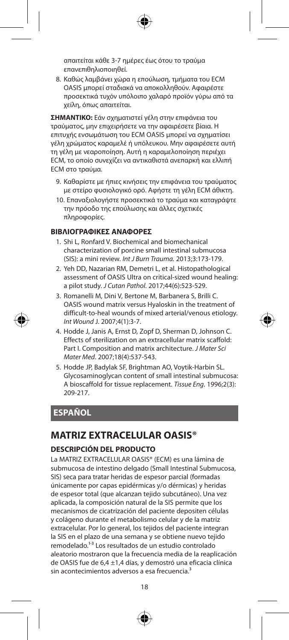

απαιτείται κάθε 3-7 ημέρες έως ότου το τραύμα επανεπιθηλιοποιηθεί.

8. Καθώς λαμβάνει χώρα η επούλωση, τμήματα του ECM OASIS μπορεί σταδιακά να αποκολληθούν. Αφαιρέστε προσεκτικά τυχόν υπόλοιπο χαλαρό προϊόν γύρω από τα χείλη, όπως απαιτείται.

**ΣΗΜΑΝΤΙΚΟ:** Εάν σχηματιστεί γέλη στην επιφάνεια του τραύματος, μην επιχειρήσετε να την αφαιρέσετε βίαια. Η επιτυχής ενσωμάτωση του ECM OASIS μπορεί να σχηματίσει γέλη χρώματος καραμελέ ή υπόλευκου. Μην αφαιρέσετε αυτή τη γέλη με νεαροποίηση. Αυτή η καραμελοποίηση περιέχει ECM, το οποίο συνεχίζει να αντικαθιστά ανεπαρκή και ελλιπή ECM στο τραύμα.

- 9. Καθαρίστε με ήπιες κινήσεις την επιφάνεια του τραύματος με στείρο φυσιολογικό ορό. Αφήστε τη γέλη ECM άθικτη.
- 10. Επαναξιολογήστε προσεκτικά το τραύμα και καταγράψτε την πρόοδο της επούλωσης και άλλες σχετικές πληροφορίες.

## **ΒΙΒΛΙΟΓΡΑΦΙΚΕΣ ΑΝΑΦΟΡΕΣ**

- 1. Shi L, Ronfard V. Biochemical and biomechanical characterization of porcine small intestinal submucosa (SIS): a mini review. *Int J Burn Trauma.* 2013;3:173-179.
- 2. Yeh DD, Nazarian RM, Demetri L, et al. Histopathological assessment of OASIS Ultra on critical-sized wound healing: a pilot study. *J Cutan Pathol*. 2017;44(6):523-529.
- 3. Romanelli M, Dini V, Bertone M, Barbanera S, Brilli C. OASIS wound matrix versus Hyaloskin in the treatment of difficult-to-heal wounds of mixed arterial/venous etiology. *Int Wound* J. 2007;4(1):3-7.
- 4. Hodde J, Janis A, Ernst D, Zopf D, Sherman D, Johnson C. Effects of sterilization on an extracellular matrix scaffold: Part I. Composition and matrix architecture. *J Mater Sci Mater Med*. 2007;18(4):537-543.
- 5. Hodde JP, Badylak SF, Brightman AO, Voytik-Harbin SL. Glycosaminoglycan content of small intestinal submucosa: A bioscaffold for tissue replacement. *Tissue Eng*. 1996;2(3): 209-217.

## **ESPAÑOL**

## **MATRIZ EXTRACELULAR OASIS®**

## **DESCRIPCIÓN DEL PRODUCTO**

La MATRIZ EXTRACELULAR OASIS® (ECM) es una lámina de submucosa de intestino delgado (Small Intestinal Submucosa, SIS) seca para tratar heridas de espesor parcial (formadas únicamente por capas epidérmicas y/o dérmicas) y heridas de espesor total (que alcanzan tejido subcutáneo). Una vez aplicada, la composición natural de la SIS permite que los mecanismos de cicatrización del paciente depositen células y colágeno durante el metabolismo celular y de la matriz extracelular. Por lo general, los tejidos del paciente integran la SIS en el plazo de una semana y se obtiene nuevo tejido remodelado.1-3 Los resultados de un estudio controlado aleatorio mostraron que la frecuencia media de la reaplicación de OASIS fue de 6,4 ±1,4 días, y demostró una eficacia clínica sin acontecimientos adversos a esa frecuencia.<sup>3</sup>



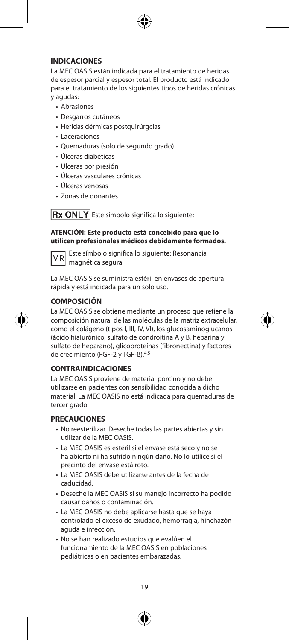

## **INDICACIONES**

La MEC OASIS están indicada para el tratamiento de heridas de espesor parcial y espesor total. El producto está indicado para el tratamiento de los siguientes tipos de heridas crónicas y agudas:

- Abrasiones
- Desgarros cutáneos
- Heridas dérmicas postquirúrgcias
- Laceraciones
- Quemaduras (solo de segundo grado)
- Úlceras diabéticas
- Úlceras por presión
- Úlceras vasculares crónicas
- Úlceras venosas
- Zonas de donantes

Rx ONLY Este símbolo significa lo siguiente:

#### **ATENCIÓN: Este producto está concebido para que lo utilicen profesionales médicos debidamente formados.**

 Este símbolo significa lo siguiente: Resonancia magnética segura

La MEC OASIS se suministra estéril en envases de apertura rápida y está indicada para un solo uso.

#### **COMPOSICIÓN**

La MEC OASIS se obtiene mediante un proceso que retiene la composición natural de las moléculas de la matriz extracelular, como el colágeno (tipos I, III, IV, VI), los glucosaminoglucanos (ácido hialurónico, sulfato de condroitina A y B, heparina y sulfato de heparano), glicoproteínas (fibronectina) y factores de crecimiento (FGF-2 y TGF-ß).4,5

#### **CONTRAINDICACIONES**

La MEC OASIS proviene de material porcino y no debe utilizarse en pacientes con sensibilidad conocida a dicho material. La MEC OASIS no está indicada para quemaduras de tercer grado.

## **PRECAUCIONES**

- No reesterilizar. Deseche todas las partes abiertas y sin utilizar de la MEC OASIS.
- La MEC OASIS es estéril si el envase está seco y no se ha abierto ni ha sufrido ningún daño. No lo utilice si el precinto del envase está roto.
- La MEC OASIS debe utilizarse antes de la fecha de caducidad.
- Deseche la MEC OASIS si su manejo incorrecto ha podido causar daños o contaminación.
- La MEC OASIS no debe aplicarse hasta que se haya controlado el exceso de exudado, hemorragia, hinchazón aguda e infección.
- No se han realizado estudios que evalúen el funcionamiento de la MEC OASIS en poblaciones pediátricas o en pacientes embarazadas.





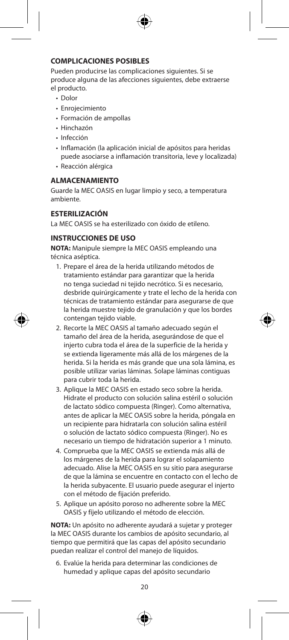

## **COMPLICACIONES POSIBLES**

Pueden producirse las complicaciones siguientes. Si se produce alguna de las afecciones siguientes, debe extraerse el producto.

- Dolor
- Enrojecimiento
- Formación de ampollas
- Hinchazón
- Infección
- Inflamación (la aplicación inicial de apósitos para heridas puede asociarse a inflamación transitoria, leve y localizada)
- Reacción alérgica

#### **ALMACENAMIENTO**

Guarde la MEC OASIS en lugar limpio y seco, a temperatura ambiente.

### **ESTERILIZACIÓN**

La MEC OASIS se ha esterilizado con óxido de etileno.

#### **INSTRUCCIONES DE USO**

**NOTA:** Manipule siempre la MEC OASIS empleando una técnica aséptica.

- 1. Prepare el área de la herida utilizando métodos de tratamiento estándar para garantizar que la herida no tenga suciedad ni tejido necrótico. Si es necesario, desbride quirúrgicamente y trate el lecho de la herida con técnicas de tratamiento estándar para asegurarse de que la herida muestre tejido de granulación y que los bordes contengan tejido viable.
- 2. Recorte la MEC OASIS al tamaño adecuado según el tamaño del área de la herida, asegurándose de que el injerto cubra toda el área de la superficie de la herida y se extienda ligeramente más allá de los márgenes de la herida. Si la herida es más grande que una sola lámina, es posible utilizar varias láminas. Solape láminas contiguas para cubrir toda la herida.
- 3. Aplique la MEC OASIS en estado seco sobre la herida. Hidrate el producto con solución salina estéril o solución de lactato sódico compuesta (Ringer). Como alternativa, antes de aplicar la MEC OASIS sobre la herida, póngala en un recipiente para hidratarla con solución salina estéril o solución de lactato sódico compuesta (Ringer). No es necesario un tiempo de hidratación superior a 1 minuto.
- 4. Comprueba que la MEC OASIS se extienda más allá de los márgenes de la herida para lograr el solapamiento adecuado. Alise la MEC OASIS en su sitio para asegurarse de que la lámina se encuentre en contacto con el lecho de la herida subyacente. El usuario puede asegurar el injerto con el método de fijación preferido.
- 5. Aplique un apósito poroso no adherente sobre la MEC OASIS y fíjelo utilizando el método de elección.

**NOTA:** Un apósito no adherente ayudará a sujetar y proteger la MEC OASIS durante los cambios de apósito secundario, al tiempo que permitirá que las capas del apósito secundario puedan realizar el control del manejo de líquidos.

6. Evalúe la herida para determinar las condiciones de humedad y aplique capas del apósito secundario



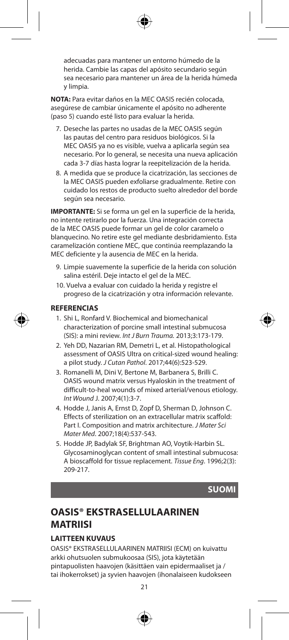

adecuadas para mantener un entorno húmedo de la herida. Cambie las capas del apósito secundario según sea necesario para mantener un área de la herida húmeda y limpia.

**NOTA:** Para evitar daños en la MEC OASIS recién colocada, asegúrese de cambiar únicamente el apósito no adherente (paso 5) cuando esté listo para evaluar la herida.

- 7. Deseche las partes no usadas de la MEC OASIS según las pautas del centro para residuos biológicos. Si la MEC OASIS ya no es visible, vuelva a aplicarla según sea necesario. Por lo general, se necesita una nueva aplicación cada 3-7 días hasta lograr la reepitelización de la herida.
- 8. A medida que se produce la cicatrización, las secciones de la MEC OASIS pueden exfoliarse gradualmente. Retire con cuidado los restos de producto suelto alrededor del borde según sea necesario.

**IMPORTANTE:** Si se forma un gel en la superficie de la herida, no intente retirarlo por la fuerza. Una integración correcta de la MEC OASIS puede formar un gel de color caramelo o blanquecino. No retire este gel mediante desbridamiento. Esta caramelización contiene MEC, que continúa reemplazando la MEC deficiente y la ausencia de MEC en la herida.

- 9. Limpie suavemente la superficie de la herida con solución salina estéril. Deje intacto el gel de la MEC.
- 10. Vuelva a evaluar con cuidado la herida y registre el progreso de la cicatrización y otra información relevante.

#### **REFERENCIAS**

- 1. Shi L, Ronfard V. Biochemical and biomechanical characterization of porcine small intestinal submucosa (SIS): a mini review. *Int J Burn Trauma.* 2013;3:173-179.
- 2. Yeh DD, Nazarian RM, Demetri L, et al. Histopathological assessment of OASIS Ultra on critical-sized wound healing: a pilot study. *J Cutan Pathol*. 2017;44(6):523-529.
- 3. Romanelli M, Dini V, Bertone M, Barbanera S, Brilli C. OASIS wound matrix versus Hyaloskin in the treatment of difficult-to-heal wounds of mixed arterial/venous etiology. *Int Wound* J. 2007;4(1):3-7.
- 4. Hodde J, Janis A, Ernst D, Zopf D, Sherman D, Johnson C. Effects of sterilization on an extracellular matrix scaffold: Part I. Composition and matrix architecture. *J Mater Sci Mater Med*. 2007;18(4):537-543.
- 5. Hodde JP, Badylak SF, Brightman AO, Voytik-Harbin SL. Glycosaminoglycan content of small intestinal submucosa: A bioscaffold for tissue replacement. *Tissue Eng*. 1996;2(3): 209-217.

**SUOMI**

# **OASIS® EKSTRASELLULAARINEN MATRIISI**

## **LAITTEEN KUVAUS**

OASIS® EKSTRASELLULAARINEN MATRIISI (ECM) on kuivattu arkki ohutsuolen submukoosaa (SIS), jota käytetään pintapuolisten haavojen (käsittäen vain epidermaaliset ja / tai ihokerrokset) ja syvien haavojen (ihonalaiseen kudokseen





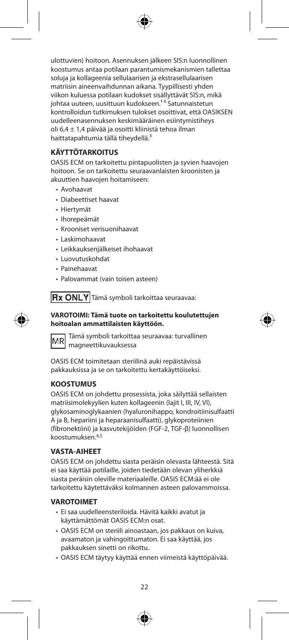

ulottuvien) hoitoon. Asennuksen jälkeen SIS:n luonnollinen koostumus antaa potilaan parantumismekanismien tallettaa soluja ja kollageenia sellulaarisen ja ekstrasellulaarisen matriisin aineenvaihdunnan aikana. Tyypillisesti yhden viikon kuluessa potilaan kudokset sisällyttävät SIS:n, mikä johtaa uuteen, uusittuun kudokseen.<sup>1-3</sup> Satunnaistetun kontrolloidun tutkimuksen tulokset osoittivat, että OASIKSEN uudelleenasennuksen keskimääräinen esiintymistiheys oli 6,4 ± 1,4 päivää ja osoitti kliinistä tehoa ilman haittatapahtumia tällä tiheydellä.<sup>3</sup>

## **KÄYTTÖTARKOITUS**

OASIS ECM on tarkoitettu pintapuolisten ja syvien haavojen hoitoon. Se on tarkoitettu seuraavanlaisten kroonisten ja akuuttien haavojen hoitamiseen:

- Avohaavat
- Diabeettiset haavat
- Hiertymät
- Ihorepeämät
- Krooniset verisuonihaavat
- Laskimohaavat
- Leikkauksenjälkeiset ihohaavat
- Luovutuskohdat
- Painehaavat
- Palovammat (vain toisen asteen)

# Rx ONLY Tämä symboli tarkoittaa seuraavaa:

#### **VAROTOIMI: Tämä tuote on tarkoitettu koulutettujen hoitoalan ammattilaisten käyttöön.**



**MR** Tämä symboli tarkoittaa seuraavaa: turvallinen magneettikuvauksessa

OASIS ECM toimitetaan steriilinä auki repäistävissä pakkauksissa ja se on tarkoitettu kertakäyttöiseksi.

## **KOOSTUMUS**

OASIS ECM on johdettu prosessista, joka säilyttää sellaisten matriisimolekyylien kuten kollageenin (lajit I, III, IV, VI), glykosaminoglykaanien (hyaluronihappo, kondroitiinisulfaatti A ja B, hepariini ja heparaanisulfaatti), glykoproteiinien (fibronektiini) ja kasvutekijöiden (FGF-2, TGF-β) luonnollisen koostumuksen.4,5

#### **VASTA-AIHEET**

OASIS ECM on johdettu siasta peräisin olevasta lähteestä. Sitä ei saa käyttää potilaille, joiden tiedetään olevan yliherkkiä siasta peräisin oleville materiaaleille. OASIS ECM:ää ei ole tarkoitettu käytettäväksi kolmannen asteen palovammoissa.

#### **VAROTOIMET**

- Ei saa uudelleensteriloida. Hävitä kaikki avatut ja käyttämättömät OASIS ECM:n osat.
- OASIS ECM on steriili ainoastaan, jos pakkaus on kuiva, avaamaton ja vahingoittumaton. Ei saa käyttää, jos pakkauksen sinetti on rikottu.
- OASIS ECM täytyy käyttää ennen viimeistä käyttöpäivää.



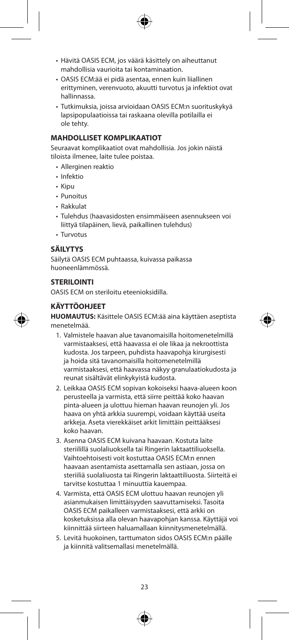

- Hävitä OASIS ECM, jos väärä käsittely on aiheuttanut mahdollisia vaurioita tai kontaminaation.
- OASIS ECM:ää ei pidä asentaa, ennen kuin liiallinen erittyminen, verenvuoto, akuutti turvotus ja infektiot ovat hallinnassa.
- Tutkimuksia, joissa arvioidaan OASIS ECM:n suorituskykyä lapsipopulaatioissa tai raskaana olevilla potilailla ei ole tehty.

## **MAHDOLLISET KOMPLIKAATIOT**

Seuraavat komplikaatiot ovat mahdollisia. Jos jokin näistä tiloista ilmenee, laite tulee poistaa.

- Allerginen reaktio
- Infektio
- Kipu
- Punoitus
- Rakkulat
- Tulehdus (haavasidosten ensimmäiseen asennukseen voi liittyä tilapäinen, lievä, paikallinen tulehdus)
- Turvotus

### **SÄILYTYS**

Säilytä OASIS ECM puhtaassa, kuivassa paikassa huoneenlämmössä.

## **STERILOINTI**

OASIS ECM on steriloitu eteenioksidilla.

#### **KÄYTTÖOHJEET**

**HUOMAUTUS:** Käsittele OASIS ECM:ää aina käyttäen aseptista menetelmää.

- 1. Valmistele haavan alue tavanomaisilla hoitomenetelmillä varmistaaksesi, että haavassa ei ole likaa ja nekroottista kudosta. Jos tarpeen, puhdista haavapohja kirurgisesti ja hoida sitä tavanomaisilla hoitomenetelmillä varmistaaksesi, että haavassa näkyy granulaatiokudosta ja reunat sisältävät elinkykyistä kudosta.
- 2. Leikkaa OASIS ECM sopivan kokoiseksi haava-alueen koon perusteella ja varmista, että siirre peittää koko haavan pinta-alueen ja ulottuu hieman haavan reunojen yli. Jos haava on yhtä arkkia suurempi, voidaan käyttää useita arkkeja. Aseta vierekkäiset arkit limittäin peittääksesi koko haavan.
- 3. Asenna OASIS ECM kuivana haavaan. Kostuta laite steriilillä suolaliuoksella tai Ringerin laktaattiliuoksella. Vaihtoehtoisesti voit kostuttaa OASIS ECM:n ennen haavaan asentamista asettamalla sen astiaan, jossa on steriiliä suolaliuosta tai Ringerin laktaattiliuosta. Siirteitä ei tarvitse kostuttaa 1 minuuttia kauempaa.
- 4. Varmista, että OASIS ECM ulottuu haavan reunojen yli asianmukaisen limittäisyyden saavuttamiseksi. Tasoita OASIS ECM paikalleen varmistaaksesi, että arkki on kosketuksissa alla olevan haavapohjan kanssa. Käyttäjä voi kiinnittää siirteen haluamallaan kiinnitysmenetelmällä.
- 5. Levitä huokoinen, tarttumaton sidos OASIS ECM:n päälle ja kiinnitä valitsemallasi menetelmällä.





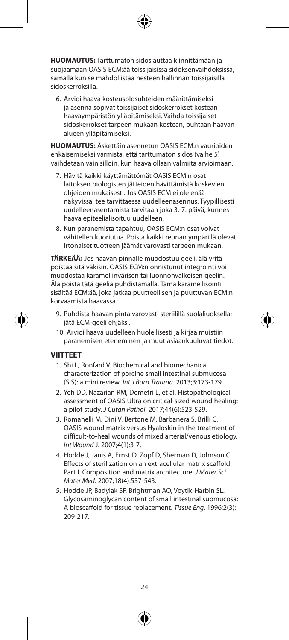

**HUOMAUTUS:** Tarttumaton sidos auttaa kiinnittämään ja suojaamaan OASIS ECM:ää toissijaisissa sidoksenvaihdoksissa, samalla kun se mahdollistaa nesteen hallinnan toissijaisilla sidoskerroksilla.

6. Arvioi haava kosteusolosuhteiden määrittämiseksi ja asenna sopivat toissijaiset sidoskerrokset kostean haavaympäristön ylläpitämiseksi. Vaihda toissijaiset sidoskerrokset tarpeen mukaan kostean, puhtaan haavan alueen ylläpitämiseksi.

**HUOMAUTUS:** Äskettäin asennetun OASIS ECM:n vaurioiden ehkäisemiseksi varmista, että tarttumaton sidos (vaihe 5) vaihdetaan vain silloin, kun haava ollaan valmiita arvioimaan.

- 7. Hävitä kaikki käyttämättömät OASIS ECM:n osat laitoksen biologisten jätteiden hävittämistä koskevien ohjeiden mukaisesti. Jos OASIS ECM ei ole enää näkyvissä, tee tarvittaessa uudelleenasennus. Tyypillisesti uudelleenasentamista tarvitaan joka 3.-7. päivä, kunnes haava epiteelialisoituu uudelleen.
- 8. Kun paranemista tapahtuu, OASIS ECM:n osat voivat vähitellen kuoriutua. Poista kaikki reunan ympärillä olevat irtonaiset tuotteen jäämät varovasti tarpeen mukaan.

**TÄRKEÄÄ:** Jos haavan pinnalle muodostuu geeli, älä yritä poistaa sitä väkisin. OASIS ECM:n onnistunut integrointi voi muodostaa karamellinvärisen tai luonnonvalkoisen geelin. Älä poista tätä geeliä puhdistamalla. Tämä karamellisointi sisältää ECM:ää, joka jatkaa puutteellisen ja puuttuvan ECM:n korvaamista haavassa.

- 9. Puhdista haavan pinta varovasti steriilillä suolaliuoksella; jätä ECM-geeli ehjäksi.
- 10. Arvioi haava uudelleen huolellisesti ja kirjaa muistiin paranemisen eteneminen ja muut asiaankuuluvat tiedot.

#### **VIITTEET**

- 1. Shi L, Ronfard V. Biochemical and biomechanical characterization of porcine small intestinal submucosa (SIS): a mini review. *Int J Burn Trauma.* 2013;3:173-179.
- 2. Yeh DD, Nazarian RM, Demetri L, et al. Histopathological assessment of OASIS Ultra on critical-sized wound healing: a pilot study. *J Cutan Pathol*. 2017;44(6):523-529.
- 3. Romanelli M, Dini V, Bertone M, Barbanera S, Brilli C. OASIS wound matrix versus Hyaloskin in the treatment of difficult-to-heal wounds of mixed arterial/venous etiology. *Int Wound* J. 2007;4(1):3-7.
- 4. Hodde J, Janis A, Ernst D, Zopf D, Sherman D, Johnson C. Effects of sterilization on an extracellular matrix scaffold: Part I. Composition and matrix architecture. *J Mater Sci Mater Med*. 2007;18(4):537-543.
- 5. Hodde JP, Badylak SF, Brightman AO, Voytik-Harbin SL. Glycosaminoglycan content of small intestinal submucosa: A bioscaffold for tissue replacement. *Tissue Eng*. 1996;2(3): 209-217.





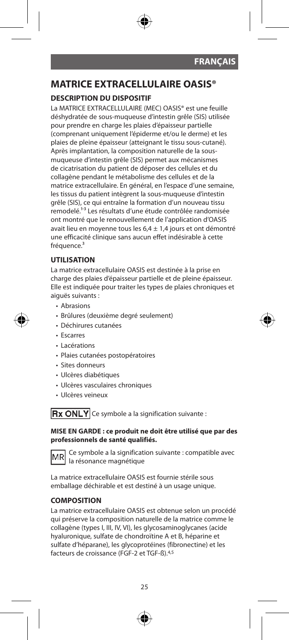

# **FRANÇAIS**

# **MATRICE EXTRACELLULAIRE OASIS®**

## **DESCRIPTION DU DISPOSITIF**

La MATRICE EXTRACELLULAIRE (MEC) OASIS® est une feuille déshydratée de sous-muqueuse d'intestin grêle (SIS) utilisée pour prendre en charge les plaies d'épaisseur partielle (comprenant uniquement l'épiderme et/ou le derme) et les plaies de pleine épaisseur (atteignant le tissu sous-cutané). Après implantation, la composition naturelle de la sousmuqueuse d'intestin grêle (SIS) permet aux mécanismes de cicatrisation du patient de déposer des cellules et du collagène pendant le métabolisme des cellules et de la matrice extracellulaire. En général, en l'espace d'une semaine, les tissus du patient intègrent la sous-muqueuse d'intestin grêle (SIS), ce qui entraîne la formation d'un nouveau tissu remodelé.<sup>1-3</sup> Les résultats d'une étude contrôlée randomisée ont montré que le renouvellement de l'application d'OASIS avait lieu en moyenne tous les 6,4 ± 1,4 jours et ont démontré une efficacité clinique sans aucun effet indésirable à cette fréquence.<sup>3</sup>

## **UTILISATION**

La matrice extracellulaire OASIS est destinée à la prise en charge des plaies d'épaisseur partielle et de pleine épaisseur. Elle est indiquée pour traiter les types de plaies chroniques et aiguës suivants :

- Abrasions
- Brûlures (deuxième degré seulement)
- Déchirures cutanées
- Escarres
- Lacérations
- Plaies cutanées postopératoires
- Sites donneurs
- Ulcères diabétiques
- Ulcères vasculaires chroniques
- Ulcères veineux

 $\overline{Rx}$  ONLY Ce symbole a la signification suivante :

**MISE EN GARDE : ce produit ne doit être utilisé que par des professionnels de santé qualifiés.**



 Ce symbole a la signification suivante : compatible avec MR Le symbole d'ans J<br>la résonance magnétique

La matrice extracellulaire OASIS est fournie stérile sous emballage déchirable et est destiné à un usage unique.

#### **COMPOSITION**

La matrice extracellulaire OASIS est obtenue selon un procédé qui préserve la composition naturelle de la matrice comme le collagène (types I, III, IV, VI), les glycosaminoglycanes (acide hyaluronique, sulfate de chondroïtine A et B, héparine et sulfate d'héparane), les glycoprotéines (fibronectine) et les facteurs de croissance (FGF-2 et TGF-ß).4,5





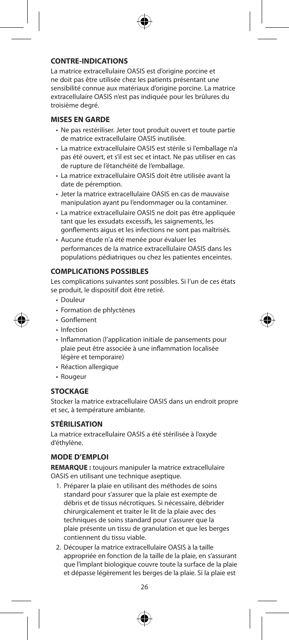

## **CONTRE-INDICATIONS**

La matrice extracellulaire OASIS est d'origine porcine et ne doit pas être utilisée chez les patients présentant une sensibilité connue aux matériaux d'origine porcine. La matrice extracellulaire OASIS n'est pas indiquée pour les brûlures du troisième degré.

## **MISES EN GARDE**

- Ne pas restériliser. Jeter tout produit ouvert et toute partie de matrice extracellulaire OASIS inutilisée.
- La matrice extracellulaire OASIS est stérile si l'emballage n'a pas été ouvert, et s'il est sec et intact. Ne pas utiliser en cas de rupture de l'étanchéité de l'emballage.
- La matrice extracellulaire OASIS doit être utilisée avant la date de péremption.
- Jeter la matrice extracellulaire OASIS en cas de mauvaise manipulation ayant pu l'endommager ou la contaminer.
- La matrice extracellulaire OASIS ne doit pas être appliquée tant que les exsudats excessifs, les saignements, les gonflements aigus et les infections ne sont pas maîtrisés.
- Aucune étude n'a été menée pour évaluer les performances de la matrice extracellulaire OASIS dans les populations pédiatriques ou chez les patientes enceintes.

## **COMPLICATIONS POSSIBLES**

Les complications suivantes sont possibles. Si l'un de ces états se produit, le dispositif doit être retiré.

- Douleur
- Formation de phlyctènes
- Gonflement
- Infection
- Inflammation (l'application initiale de pansements pour plaie peut être associée à une inflammation localisée légère et temporaire)
- Réaction allergique
- Rougeur

## **STOCKAGE**

Stocker la matrice extracellulaire OASIS dans un endroit propre et sec, à température ambiante.

#### **STÉRILISATION**

La matrice extracellulaire OASIS a été stérilisée à l'oxyde d'éthylène.

## **MODE D'EMPLOI**

**REMARQUE :** toujours manipuler la matrice extracellulaire OASIS en utilisant une technique aseptique.

- 1. Préparer la plaie en utilisant des méthodes de soins standard pour s'assurer que la plaie est exempte de débris et de tissus nécrotiques. Si nécessaire, débrider chirurgicalement et traiter le lit de la plaie avec des techniques de soins standard pour s'assurer que la plaie présente un tissu de granulation et que les berges contiennent du tissu viable.
- 2. Découper la matrice extracellulaire OASIS à la taille appropriée en fonction de la taille de la plaie, en s'assurant que l'implant biologique couvre toute la surface de la plaie et dépasse légèrement les berges de la plaie. Si la plaie est





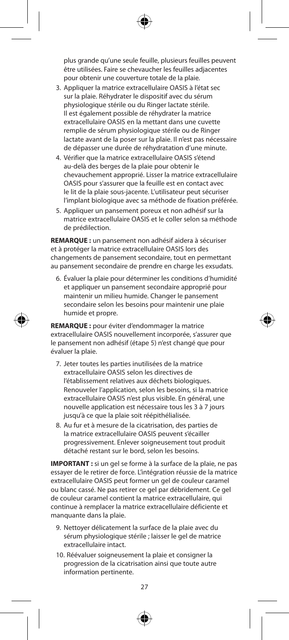

plus grande qu'une seule feuille, plusieurs feuilles peuvent être utilisées. Faire se chevaucher les feuilles adjacentes pour obtenir une couverture totale de la plaie.

- 3. Appliquer la matrice extracellulaire OASIS à l'état sec sur la plaie. Réhydrater le dispositif avec du sérum physiologique stérile ou du Ringer lactate stérile. Il est également possible de réhydrater la matrice extracellulaire OASIS en la mettant dans une cuvette remplie de sérum physiologique stérile ou de Ringer lactate avant de la poser sur la plaie. Il n'est pas nécessaire de dépasser une durée de réhydratation d'une minute.
- 4. Vérifier que la matrice extracellulaire OASIS s'étend au-delà des berges de la plaie pour obtenir le chevauchement approprié. Lisser la matrice extracellulaire OASIS pour s'assurer que la feuille est en contact avec le lit de la plaie sous-jacente. L'utilisateur peut sécuriser l'implant biologique avec sa méthode de fixation préférée.
- 5. Appliquer un pansement poreux et non adhésif sur la matrice extracellulaire OASIS et le coller selon sa méthode de prédilection.

**REMARQUE :** un pansement non adhésif aidera à sécuriser et à protéger la matrice extracellulaire OASIS lors des changements de pansement secondaire, tout en permettant au pansement secondaire de prendre en charge les exsudats.

6. Évaluer la plaie pour déterminer les conditions d'humidité et appliquer un pansement secondaire approprié pour maintenir un milieu humide. Changer le pansement secondaire selon les besoins pour maintenir une plaie humide et propre.

**REMARQUE :** pour éviter d'endommager la matrice extracellulaire OASIS nouvellement incorporée, s'assurer que le pansement non adhésif (étape 5) n'est changé que pour évaluer la plaie.

- 7. Jeter toutes les parties inutilisées de la matrice extracellulaire OASIS selon les directives de l'établissement relatives aux déchets biologiques. Renouveler l'application, selon les besoins, si la matrice extracellulaire OASIS n'est plus visible. En général, une nouvelle application est nécessaire tous les 3 à 7 jours jusqu'à ce que la plaie soit réépithélialisée.
- 8. Au fur et à mesure de la cicatrisation, des parties de la matrice extracellulaire OASIS peuvent s'écailler progressivement. Enlever soigneusement tout produit détaché restant sur le bord, selon les besoins.

**IMPORTANT :** si un gel se forme à la surface de la plaie, ne pas essayer de le retirer de force. L'intégration réussie de la matrice extracellulaire OASIS peut former un gel de couleur caramel ou blanc cassé. Ne pas retirer ce gel par débridement. Ce gel de couleur caramel contient la matrice extracellulaire, qui continue à remplacer la matrice extracellulaire déficiente et manquante dans la plaie.

- 9. Nettoyer délicatement la surface de la plaie avec du sérum physiologique stérile ; laisser le gel de matrice extracellulaire intact.
- 10. Réévaluer soigneusement la plaie et consigner la progression de la cicatrisation ainsi que toute autre information pertinente.





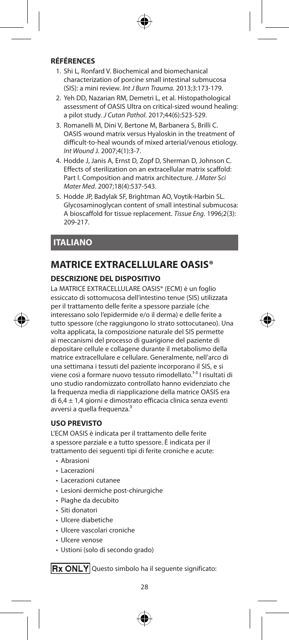

### **RÉFÉRENCES**

- 1. Shi L, Ronfard V. Biochemical and biomechanical characterization of porcine small intestinal submucosa (SIS): a mini review. *Int J Burn Trauma.* 2013;3:173-179.
- 2. Yeh DD, Nazarian RM, Demetri L, et al. Histopathological assessment of OASIS Ultra on critical-sized wound healing: a pilot study. *J Cutan Pathol*. 2017;44(6):523-529.
- 3. Romanelli M, Dini V, Bertone M, Barbanera S, Brilli C. OASIS wound matrix versus Hyaloskin in the treatment of difficult-to-heal wounds of mixed arterial/venous etiology. *Int Wound* J. 2007;4(1):3-7.
- 4. Hodde J, Janis A, Ernst D, Zopf D, Sherman D, Johnson C. Effects of sterilization on an extracellular matrix scaffold: Part I. Composition and matrix architecture. *J Mater Sci Mater Med*. 2007;18(4):537-543.
- 5. Hodde JP, Badylak SF, Brightman AO, Voytik-Harbin SL. Glycosaminoglycan content of small intestinal submucosa: A bioscaffold for tissue replacement. *Tissue Eng*. 1996;2(3): 209-217.

# **ITALIANO**

# **MATRICE EXTRACELLULARE OASIS®**

### **DESCRIZIONE DEL DISPOSITIVO**

La MATRICE EXTRACELLULARE OASIS® (ECM) è un foglio essiccato di sottomucosa dell'intestino tenue (SIS) utilizzata per il trattamento delle ferite a spessore parziale (che interessano solo l'epidermide e/o il derma) e delle ferite a tutto spessore (che raggiungono lo strato sottocutaneo). Una volta applicata, la composizione naturale del SIS permette ai meccanismi del processo di guarigione del paziente di depositare cellule e collagene durante il metabolismo della matrice extracellulare e cellulare. Generalmente, nell'arco di una settimana i tessuti del paziente incorporano il SIS, e si viene così a formare nuovo tessuto rimodellato.<sup>1-3</sup> I risultati di uno studio randomizzato controllato hanno evidenziato che la frequenza media di riapplicazione della matrice OASIS era di 6,4 ± 1,4 giorni e dimostrato efficacia clinica senza eventi avversi a quella frequenza.<sup>3</sup>

## **USO PREVISTO**

L'ECM OASIS è indicata per il trattamento delle ferite a spessore parziale e a tutto spessore. È indicata per il trattamento dei seguenti tipi di ferite croniche e acute:

- Abrasioni
- Lacerazioni
- Lacerazioni cutanee
- Lesioni dermiche post-chirurgiche
- Piaghe da decubito
- Siti donatori
- Ulcere diabetiche
- Ulcere vascolari croniche
- Ulcere venose
- Ustioni (solo di secondo grado)

Rx ONLY Questo simbolo ha il seguente significato:





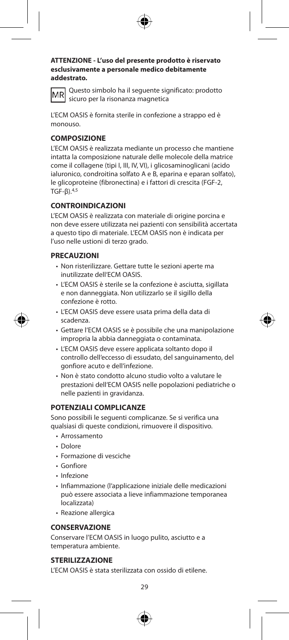

**ATTENZIONE - L'uso del presente prodotto è riservato esclusivamente a personale medico debitamente addestrato.**



 Questo simbolo ha il seguente significato: prodotto sicuro per la risonanza magnetica

L'ECM OASIS è fornita sterile in confezione a strappo ed è monouso.

#### **COMPOSIZIONE**

L'ECM OASIS è realizzata mediante un processo che mantiene intatta la composizione naturale delle molecole della matrice come il collagene (tipi I, III, IV, VI), i glicosaminoglicani (acido ialuronico, condroitina solfato A e B, eparina e eparan solfato), le glicoproteine (fibronectina) e i fattori di crescita (FGF-2, TGF-β).4,5

#### **CONTROINDICAZIONI**

L'ECM OASIS è realizzata con materiale di origine porcina e non deve essere utilizzata nei pazienti con sensibilità accertata a questo tipo di materiale. L'ECM OASIS non è indicata per l'uso nelle ustioni di terzo grado.

#### **PRECAUZIONI**

- Non risterilizzare. Gettare tutte le sezioni aperte ma inutilizzate dell'ECM OASIS.
- L'ECM OASIS è sterile se la confezione è asciutta, sigillata e non danneggiata. Non utilizzarlo se il sigillo della confezione è rotto.
- L'ECM OASIS deve essere usata prima della data di scadenza.
- Gettare l'ECM OASIS se è possibile che una manipolazione impropria la abbia danneggiata o contaminata.
- L'ECM OASIS deve essere applicata soltanto dopo il controllo dell'eccesso di essudato, del sanguinamento, del gonfiore acuto e dell'infezione.
- Non è stato condotto alcuno studio volto a valutare le prestazioni dell'ECM OASIS nelle popolazioni pediatriche o nelle pazienti in gravidanza.

### **POTENZIALI COMPLICANZE**

Sono possibili le seguenti complicanze. Se si verifica una qualsiasi di queste condizioni, rimuovere il dispositivo.

- Arrossamento
- Dolore
- Formazione di vesciche
- Gonfiore
- Infezione
- Infiammazione (l'applicazione iniziale delle medicazioni può essere associata a lieve infiammazione temporanea localizzata)
- Reazione allergica

### **CONSERVAZIONE**

Conservare l'ECM OASIS in luogo pulito, asciutto e a temperatura ambiente.

#### **STERILIZZAZIONE**

L'ECM OASIS è stata sterilizzata con ossido di etilene.





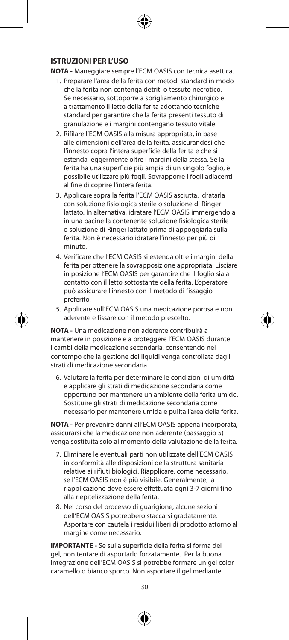

## **ISTRUZIONI PER L'USO**

**NOTA -** Maneggiare sempre l'ECM OASIS con tecnica asettica.

- 1. Preparare l'area della ferita con metodi standard in modo che la ferita non contenga detriti o tessuto necrotico. Se necessario, sottoporre a sbrigliamento chirurgico e a trattamento il letto della ferita adottando tecniche standard per garantire che la ferita presenti tessuto di granulazione e i margini contengano tessuto vitale.
- 2. Rifilare l'ECM OASIS alla misura appropriata, in base alle dimensioni dell'area della ferita, assicurandosi che l'innesto copra l'intera superficie della ferita e che si estenda leggermente oltre i margini della stessa. Se la ferita ha una superficie più ampia di un singolo foglio, è possibile utilizzare più fogli. Sovrapporre i fogli adiacenti al fine di coprire l'intera ferita.
- 3. Applicare sopra la ferita l'ECM OASIS asciutta. Idratarla con soluzione fisiologica sterile o soluzione di Ringer lattato. In alternativa, idratare l'ECM OASIS immergendola in una bacinella contenente soluzione fisiologica sterile o soluzione di Ringer lattato prima di appoggiarla sulla ferita. Non è necessario idratare l'innesto per più di 1 minuto.
- 4. Verificare che l'ECM OASIS si estenda oltre i margini della ferita per ottenere la sovrapposizione appropriata. Lisciare in posizione l'ECM OASIS per garantire che il foglio sia a contatto con il letto sottostante della ferita. L'operatore può assicurare l'innesto con il metodo di fissaggio preferito.
- 5. Applicare sull'ECM OASIS una medicazione porosa e non aderente e fissare con il metodo prescelto.

**NOTA -** Una medicazione non aderente contribuirà a mantenere in posizione e a proteggere l'ECM OASIS durante i cambi della medicazione secondaria, consentendo nel contempo che la gestione dei liquidi venga controllata dagli strati di medicazione secondaria.

6. Valutare la ferita per determinare le condizioni di umidità e applicare gli strati di medicazione secondaria come opportuno per mantenere un ambiente della ferita umido. Sostituire gli strati di medicazione secondaria come necessario per mantenere umida e pulita l'area della ferita.

**NOTA -** Per prevenire danni all'ECM OASIS appena incorporata, assicurarsi che la medicazione non aderente (passaggio 5) venga sostituita solo al momento della valutazione della ferita.

- 7. Eliminare le eventuali parti non utilizzate dell'ECM OASIS in conformità alle disposizioni della struttura sanitaria relative ai rifiuti biologici. Riapplicare, come necessario, se l'ECM OASIS non è più visibile. Generalmente, la riapplicazione deve essere effettuata ogni 3-7 giorni fino alla riepitelizzazione della ferita.
- 8. Nel corso del processo di guarigione, alcune sezioni dell'ECM OASIS potrebbero staccarsi gradatamente. Asportare con cautela i residui liberi di prodotto attorno al margine come necessario.

**IMPORTANTE -** Se sulla superficie della ferita si forma del gel, non tentare di asportarlo forzatamente. Per la buona integrazione dell'ECM OASIS si potrebbe formare un gel color caramello o bianco sporco. Non asportare il gel mediante





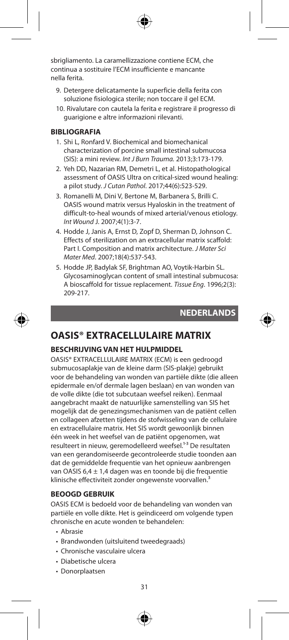

sbrigliamento. La caramellizzazione contiene ECM, che continua a sostituire l'ECM insufficiente e mancante nella ferita.

- 9. Detergere delicatamente la superficie della ferita con soluzione fisiologica sterile; non toccare il gel ECM.
- 10. Rivalutare con cautela la ferita e registrare il progresso di guarigione e altre informazioni rilevanti.

#### **BIBLIOGRAFIA**

- 1. Shi L, Ronfard V. Biochemical and biomechanical characterization of porcine small intestinal submucosa (SIS): a mini review. *Int J Burn Trauma.* 2013;3:173-179.
- 2. Yeh DD, Nazarian RM, Demetri L, et al. Histopathological assessment of OASIS Ultra on critical-sized wound healing: a pilot study. *J Cutan Pathol*. 2017;44(6):523-529.
- 3. Romanelli M, Dini V, Bertone M, Barbanera S, Brilli C. OASIS wound matrix versus Hyaloskin in the treatment of difficult-to-heal wounds of mixed arterial/venous etiology. *Int Wound* J. 2007;4(1):3-7.
- 4. Hodde J, Janis A, Ernst D, Zopf D, Sherman D, Johnson C. Effects of sterilization on an extracellular matrix scaffold: Part I. Composition and matrix architecture. *J Mater Sci Mater Med*. 2007;18(4):537-543.
- 5. Hodde JP, Badylak SF, Brightman AO, Voytik-Harbin SL. Glycosaminoglycan content of small intestinal submucosa: A bioscaffold for tissue replacement. *Tissue Eng*. 1996;2(3): 209-217.



## **NEDERLANDS**



# **OASIS® EXTRACELLULAIRE MATRIX**

## **BESCHRIJVING VAN HET HULPMIDDEL**

OASIS® EXTRACELLULAIRE MATRIX (ECM) is een gedroogd submucosaplakje van de kleine darm (SIS-plakje) gebruikt voor de behandeling van wonden van partiële dikte (die alleen epidermale en/of dermale lagen beslaan) en van wonden van de volle dikte (die tot subcutaan weefsel reiken). Eenmaal aangebracht maakt de natuurlijke samenstelling van SIS het mogelijk dat de genezingsmechanismen van de patiënt cellen en collageen afzetten tijdens de stofwisseling van de cellulaire en extracellulaire matrix. Het SIS wordt gewoonlijk binnen één week in het weefsel van de patiënt opgenomen, wat resulteert in nieuw, geremodelleerd weefsel.<sup>1-3</sup> De resultaten van een gerandomiseerde gecontroleerde studie toonden aan dat de gemiddelde frequentie van het opnieuw aanbrengen van OASIS 6,4 ± 1,4 dagen was en toonde bij die frequentie klinische effectiviteit zonder ongewenste voorvallen.<sup>3</sup>

### **BEOOGD GEBRUIK**

OASIS ECM is bedoeld voor de behandeling van wonden van partiële en volle dikte. Het is geïndiceerd om volgende typen chronische en acute wonden te behandelen:

- Abrasie
- Brandwonden (uitsluitend tweedegraads)
- Chronische vasculaire ulcera
- Diabetische ulcera
- Donorplaatsen

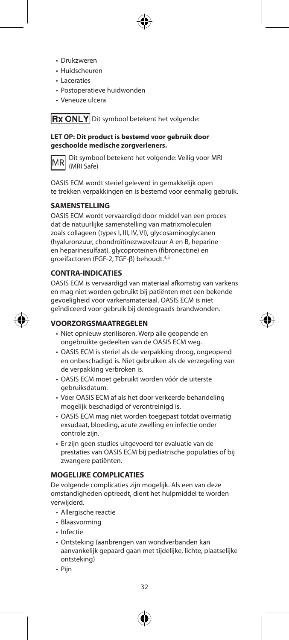- 
- Drukzweren
- Huidscheuren
- Laceraties
- Postoperatieve huidwonden
- Veneuze ulcera

Rx ONLY Dit symbool betekent het volgende:

#### **LET OP: Dit product is bestemd voor gebruik door geschoolde medische zorgverleners.**



 Dit symbool betekent het volgende: Veilig voor MRI (MRI Safe)

OASIS ECM wordt steriel geleverd in gemakkelijk open te trekken verpakkingen en is bestemd voor eenmalig gebruik.

### **SAMENSTELLING**

OASIS ECM wordt vervaardigd door middel van een proces dat de natuurlijke samenstelling van matrixmoleculen zoals collageen (types I, III, IV, VI), glycosaminoglycanen (hyaluronzuur, chondroïtinezwavelzuur A en B, heparine en heparinesulfaat), glycoproteïnen (fibronectine) en groeifactoren (FGF-2, TGF-β) behoudt.4,5

## **CONTRA-INDICATIES**

OASIS ECM is vervaardigd van materiaal afkomstig van varkens en mag niet worden gebruikt bij patiënten met een bekende gevoeligheid voor varkensmateriaal. OASIS ECM is niet geïndiceerd voor gebruik bij derdegraads brandwonden.



### **VOORZORGSMAATREGELEN**

- Niet opnieuw steriliseren. Werp alle geopende en ongebruikte gedeelten van de OASIS ECM weg.
- OASIS ECM is steriel als de verpakking droog, ongeopend en onbeschadigd is. Niet gebruiken als de verzegeling van de verpakking verbroken is.
- OASIS ECM moet gebruikt worden vóór de uiterste gebruiksdatum.
- Voer OASIS ECM af als het door verkeerde behandeling mogelijk beschadigd of verontreinigd is.
- OASIS ECM mag niet worden toegepast totdat overmatig exsudaat, bloeding, acute zwelling en infectie onder controle zijn.
- Er zijn geen studies uitgevoerd ter evaluatie van de prestaties van OASIS ECM bij pediatrische populaties of bij zwangere patiënten.

### **MOGELIJKE COMPLICATIES**

De volgende complicaties zijn mogelijk. Als een van deze omstandigheden optreedt, dient het hulpmiddel te worden verwijderd.

- Allergische reactie
- Blaasvorming
- Infectie
- Ontsteking (aanbrengen van wondverbanden kan aanvankelijk gepaard gaan met tijdelijke, lichte, plaatselijke ontsteking)
- Pijn

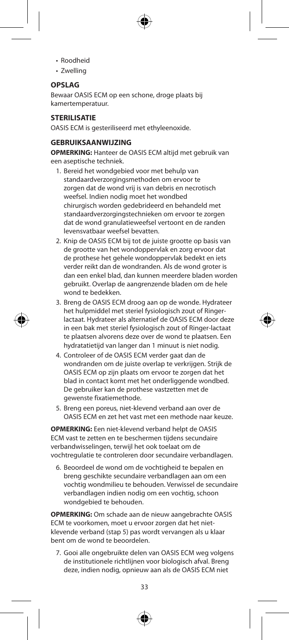- Roodheid
- Zwelling

#### **OPSLAG**

Bewaar OASIS ECM op een schone, droge plaats bij kamertemperatuur.

#### **STERILISATIE**

OASIS ECM is gesteriliseerd met ethyleenoxide.

#### **GEBRUIKSAANWIJZING**

**OPMERKING:** Hanteer de OASIS ECM altijd met gebruik van een aseptische techniek.

- 1. Bereid het wondgebied voor met behulp van standaardverzorgingsmethoden om ervoor te zorgen dat de wond vrij is van debris en necrotisch weefsel. Indien nodig moet het wondbed chirurgisch worden gedebrideerd en behandeld met standaardverzorgingstechnieken om ervoor te zorgen dat de wond granulatieweefsel vertoont en de randen levensvatbaar weefsel bevatten.
- 2. Knip de OASIS ECM bij tot de juiste grootte op basis van de grootte van het wondoppervlak en zorg ervoor dat de prothese het gehele wondoppervlak bedekt en iets verder reikt dan de wondranden. Als de wond groter is dan een enkel blad, dan kunnen meerdere bladen worden gebruikt. Overlap de aangrenzende bladen om de hele wond te bedekken.
- 3. Breng de OASIS ECM droog aan op de wonde. Hydrateer het hulpmiddel met steriel fysiologisch zout of Ringerlactaat. Hydrateer als alternatief de OASIS ECM door deze in een bak met steriel fysiologisch zout of Ringer-lactaat te plaatsen alvorens deze over de wond te plaatsen. Een hydratatietijd van langer dan 1 minuut is niet nodig.
- 4. Controleer of de OASIS ECM verder gaat dan de wondranden om de juiste overlap te verkrijgen. Strijk de OASIS ECM op zijn plaats om ervoor te zorgen dat het blad in contact komt met het onderliggende wondbed. De gebruiker kan de prothese vastzetten met de gewenste fixatiemethode.
- 5. Breng een poreus, niet-klevend verband aan over de OASIS ECM en zet het vast met een methode naar keuze.

**OPMERKING:** Een niet-klevend verband helpt de OASIS ECM vast te zetten en te beschermen tijdens secundaire verbandwisselingen, terwijl het ook toelaat om de vochtregulatie te controleren door secundaire verbandlagen.

6. Beoordeel de wond om de vochtigheid te bepalen en breng geschikte secundaire verbandlagen aan om een vochtig wondmilieu te behouden. Verwissel de secundaire verbandlagen indien nodig om een vochtig, schoon wondgebied te behouden.

**OPMERKING:** Om schade aan de nieuw aangebrachte OASIS ECM te voorkomen, moet u ervoor zorgen dat het nietklevende verband (stap 5) pas wordt vervangen als u klaar bent om de wond te beoordelen.

7. Gooi alle ongebruikte delen van OASIS ECM weg volgens de institutionele richtlijnen voor biologisch afval. Breng deze, indien nodig, opnieuw aan als de OASIS ECM niet



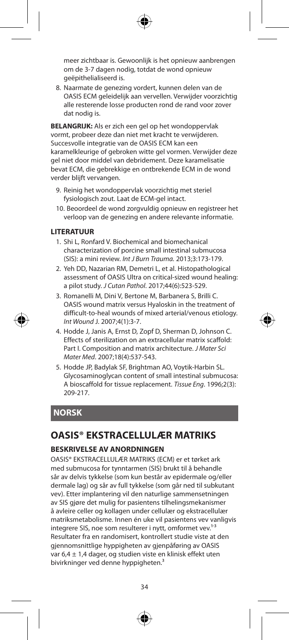

meer zichtbaar is. Gewoonlijk is het opnieuw aanbrengen om de 3-7 dagen nodig, totdat de wond opnieuw geëpithelialiseerd is.

8. Naarmate de genezing vordert, kunnen delen van de OASIS ECM geleidelijk aan vervellen. Verwijder voorzichtig alle resterende losse producten rond de rand voor zover dat nodig is.

**BELANGRIJK:** Als er zich een gel op het wondoppervlak vormt, probeer deze dan niet met kracht te verwijderen. Succesvolle integratie van de OASIS ECM kan een karamelkleurige of gebroken witte gel vormen. Verwijder deze gel niet door middel van debridement. Deze karamelisatie bevat ECM, die gebrekkige en ontbrekende ECM in de wond verder blijft vervangen.

- 9. Reinig het wondoppervlak voorzichtig met steriel fysiologisch zout. Laat de ECM-gel intact.
- 10. Beoordeel de wond zorgvuldig opnieuw en registreer het verloop van de genezing en andere relevante informatie.

## **LITERATUUR**

- 1. Shi L, Ronfard V. Biochemical and biomechanical characterization of porcine small intestinal submucosa (SIS): a mini review. *Int J Burn Trauma.* 2013;3:173-179.
- 2. Yeh DD, Nazarian RM, Demetri L, et al. Histopathological assessment of OASIS Ultra on critical-sized wound healing: a pilot study. *J Cutan Pathol*. 2017;44(6):523-529.
- 3. Romanelli M, Dini V, Bertone M, Barbanera S, Brilli C. OASIS wound matrix versus Hyaloskin in the treatment of difficult-to-heal wounds of mixed arterial/venous etiology. *Int Wound* J. 2007;4(1):3-7.
- 4. Hodde J, Janis A, Ernst D, Zopf D, Sherman D, Johnson C. Effects of sterilization on an extracellular matrix scaffold: Part I. Composition and matrix architecture. *J Mater Sci Mater Med*. 2007;18(4):537-543.
- 5. Hodde JP, Badylak SF, Brightman AO, Voytik-Harbin SL. Glycosaminoglycan content of small intestinal submucosa: A bioscaffold for tissue replacement. *Tissue Eng*. 1996;2(3): 209-217.

## **NORSK**

## **OASIS® EKSTRACELLULÆR MATRIKS**

### **BESKRIVELSE AV ANORDNINGEN**

OASIS® EKSTRACELLULÆR MATRIKS (ECM) er et tørket ark med submucosa for tynntarmen (SIS) brukt til å behandle sår av delvis tykkelse (som kun består av epidermale og/eller dermale lag) og sår av full tykkelse (som går ned til subkutant vev). Etter implantering vil den naturlige sammensetningen av SIS gjøre det mulig for pasientens tilhelingsmekanismer å avleire celler og kollagen under cellulær og ekstracellulær matriksmetabolisme. Innen én uke vil pasientens vev vanligvis integrere SIS, noe som resulterer i nytt, omformet vev.<sup>1-3</sup> Resultater fra en randomisert, kontrollert studie viste at den gjennomsnittlige hyppigheten av gjenpåføring av OASIS var 6,4 ± 1,4 dager, og studien viste en klinisk effekt uten bivirkninger ved denne hyppigheten.<sup>3</sup>



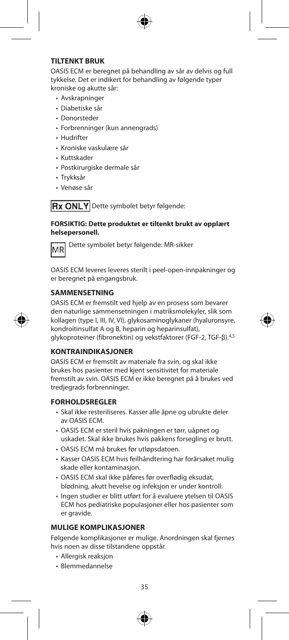

## **TILTENKT BRUK**

OASIS ECM er beregnet på behandling av sår av delvis og full tykkelse. Det er indikert for behandling av følgende typer kroniske og akutte sår:

- Avskrapninger
- Diabetiske sår
- Donorsteder
- Forbrenninger (kun annengrads)
- Hudrifter
- Kroniske vaskulære sår
- Kuttskader
- Postkirurgiske dermale sår
- Trykksår
- Venøse sår

Rx ONLY Dette symbolet betyr følgende:

#### **FORSIKTIG: Dette produktet er tiltenkt brukt av opplært helsepersonell.**



**MR** Dette symbolet betyr følgende: MR-sikker

OASIS ECM leveres leveres sterilt i peel-open-innpakninger og er beregnet på engangsbruk.

## **SAMMENSETNING**



OASIS ECM er fremstilt ved hjelp av en prosess som bevarer den naturlige sammensetningen i matriksmolekyler, slik som kollagen (type I, III, IV, VI), glykosaminoglykaner (hyaluronsyre, kondroitinsulfat A og B, heparin og heparinsulfat), glykoproteiner (fibronektin) og vekstfaktorer (FGF-2, TGF-β).4,5

#### **KONTRAINDIKASJONER**

OASIS ECM er fremstilt av materiale fra svin, og skal ikke brukes hos pasienter med kjent sensitivitet for materiale fremstilt av svin. OASIS ECM er ikke beregnet på å brukes ved tredjegrads forbrenninger.

## **FORHOLDSREGLER**

- Skal ikke resteriliseres. Kasser alle åpne og ubrukte deler av OASIS ECM.
- OASIS ECM er steril hvis pakningen er tørr, uåpnet og uskadet. Skal ikke brukes hvis pakkens forsegling er brutt.
- OASIS ECM må brukes før utløpsdatoen.
- Kasser OASIS ECM hvis feilhåndtering har forårsaket mulig skade eller kontaminasjon.
- OASIS ECM skal ikke påføres før overflødig eksudat, blødning, akutt hevelse og infeksjon er under kontroll.
- Ingen studier er blitt utført for å evaluere ytelsen til OASIS ECM hos pediatriske populasjoner eller hos pasienter som er gravide.

## **MULIGE KOMPLIKASJONER**

Følgende komplikasjoner er mulige. Anordningen skal fjernes hvis noen av disse tilstandene oppstår.

- Allergisk reaksjon
- Blemmedannelse



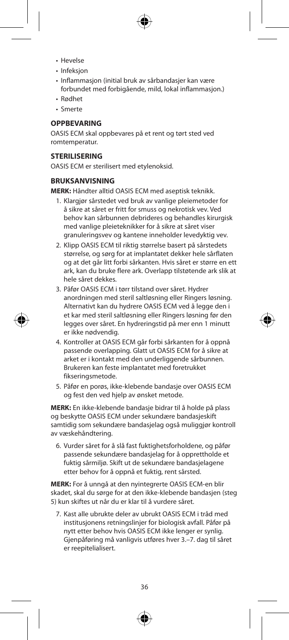- Hevelse
- Infeksjon
- Inflammasjon (initial bruk av sårbandasjer kan være forbundet med forbigående, mild, lokal inflammasjon.)
- Rødhet
- Smerte

## **OPPBEVARING**

OASIS ECM skal oppbevares på et rent og tørt sted ved romtemperatur.

#### **STERILISERING**

OASIS ECM er sterilisert med etylenoksid.

#### **BRUKSANVISNING**

**MERK:** Håndter alltid OASIS ECM med aseptisk teknikk.

- 1. Klargjør sårstedet ved bruk av vanlige pleiemetoder for å sikre at såret er fritt for smuss og nekrotisk vev. Ved behov kan sårbunnen debrideres og behandles kirurgisk med vanlige pleieteknikker for å sikre at såret viser granuleringsvev og kantene inneholder levedyktig vev.
- 2. Klipp OASIS ECM til riktig størrelse basert på sårstedets størrelse, og sørg for at implantatet dekker hele sårflaten og at det går litt forbi sårkanten. Hvis såret er større en ett ark, kan du bruke flere ark. Overlapp tilstøtende ark slik at hele såret dekkes.
- 3. Påfør OASIS ECM i tørr tilstand over såret. Hydrer anordningen med steril saltløsning eller Ringers løsning. Alternativt kan du hydrere OASIS ECM ved å legge den i et kar med steril saltløsning eller Ringers løsning før den legges over såret. En hydreringstid på mer enn 1 minutt er ikke nødvendig.
- 4. Kontroller at OASIS ECM går forbi sårkanten for å oppnå passende overlapping. Glatt ut OASIS ECM for å sikre at arket er i kontakt med den underliggende sårbunnen. Brukeren kan feste implantatet med foretrukket fikseringsmetode.
- 5. Påfør en porøs, ikke-klebende bandasje over OASIS ECM og fest den ved hjelp av ønsket metode.

**MERK:** En ikke-klebende bandasje bidrar til å holde på plass og beskytte OASIS ECM under sekundære bandasjeskift samtidig som sekundære bandasjelag også muliggjør kontroll av væskehåndtering.

6. Vurder såret for å slå fast fuktighetsforholdene, og påfør passende sekundære bandasjelag for å opprettholde et fuktig sårmiljø. Skift ut de sekundære bandasjelagene etter behov for å oppnå et fuktig, rent sårsted.

**MERK:** For å unngå at den nyintegrerte OASIS ECM-en blir skadet, skal du sørge for at den ikke-klebende bandasjen (steg 5) kun skiftes ut når du er klar til å vurdere såret.

7. Kast alle ubrukte deler av ubrukt OASIS ECM i tråd med institusjonens retningslinjer for biologisk avfall. Påfør på nytt etter behov hvis OASIS ECM ikke lenger er synlig. Gjenpåføring må vanligvis utføres hver 3.–7. dag til såret er reepitelialisert.



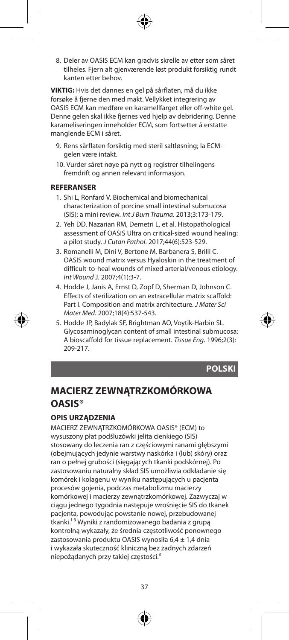

8. Deler av OASIS ECM kan gradvis skrelle av etter som såret tilheles. Fjern alt gjenværende løst produkt forsiktig rundt kanten etter behov.

**VIKTIG:** Hvis det dannes en gel på sårflaten, må du ikke forsøke å fjerne den med makt. Vellykket integrering av OASIS ECM kan medføre en karamellfarget eller off-white gel. Denne gelen skal ikke fjernes ved hjelp av debridering. Denne karameliseringen inneholder ECM, som fortsetter å erstatte manglende ECM i såret.

- 9. Rens sårflaten forsiktig med steril saltløsning; la ECMgelen være intakt.
- 10. Vurder såret nøye på nytt og registrer tilhelingens fremdrift og annen relevant informasjon.

#### **REFERANSER**

- 1. Shi L, Ronfard V. Biochemical and biomechanical characterization of porcine small intestinal submucosa (SIS): a mini review. *Int J Burn Trauma.* 2013;3:173-179.
- 2. Yeh DD, Nazarian RM, Demetri L, et al. Histopathological assessment of OASIS Ultra on critical-sized wound healing: a pilot study. *J Cutan Pathol*. 2017;44(6):523-529.
- 3. Romanelli M, Dini V, Bertone M, Barbanera S, Brilli C. OASIS wound matrix versus Hyaloskin in the treatment of difficult-to-heal wounds of mixed arterial/venous etiology. *Int Wound* J. 2007;4(1):3-7.
- 4. Hodde J, Janis A, Ernst D, Zopf D, Sherman D, Johnson C. Effects of sterilization on an extracellular matrix scaffold: Part I. Composition and matrix architecture. *J Mater Sci Mater Med*. 2007;18(4):537-543.
- 5. Hodde JP, Badylak SF, Brightman AO, Voytik-Harbin SL. Glycosaminoglycan content of small intestinal submucosa: A bioscaffold for tissue replacement. *Tissue Eng*. 1996;2(3): 209-217.

**POLSKI**

## **MACIERZ ZEWNĄTRZKOMÓRKOWA OASIS®**

## **OPIS URZĄDZENIA**

MACIERZ ZEWNĄTRZKOMÓRKOWA OASIS® (ECM) to wysuszony płat podśluzówki jelita cienkiego (SIS) stosowany do leczenia ran z częściowymi ranami głębszymi (obejmujących jedynie warstwy naskórka i (lub) skóry) oraz ran o pełnej grubości (sięgających tkanki podskórnej). Po zastosowaniu naturalny skład SIS umożliwia odkładanie się komórek i kolagenu w wyniku następujących u pacjenta procesów gojenia, podczas metabolizmu macierzy komórkowej i macierzy zewnątrzkomórkowej. Zazwyczaj w ciągu jednego tygodnia następuje wrośnięcie SIS do tkanek pacjenta, powodując powstanie nowej, przebudowanej tkanki.<sup>1-3</sup> Wyniki z randomizowanego badania z grupą kontrolną wykazały, że średnia częstotliwość ponownego zastosowania produktu OASIS wynosiła 6,4 ± 1,4 dnia i wykazała skuteczność kliniczną bez żadnych zdarzeń niepożądanych przy takiej częstości.3

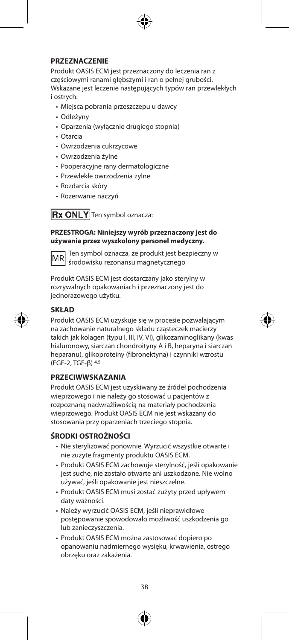

## **PRZEZNACZENIE**

Produkt OASIS ECM jest przeznaczony do leczenia ran z częściowymi ranami głębszymi i ran o pełnej grubości. Wskazane jest leczenie następujących typów ran przewlekłych i ostrych:

- Miejsca pobrania przeszczepu u dawcy
- Odleżyny
- Oparzenia (wyłącznie drugiego stopnia)
- Otarcia
- Owrzodzenia cukrzycowe
- Owrzodzenia żylne
- Pooperacyjne rany dermatologiczne
- Przewlekłe owrzodzenia żylne
- Rozdarcia skóry
- Rozerwanie naczyń

Rx ONLY Ten symbol oznacza:

#### **PRZESTROGA: Niniejszy wyrób przeznaczony jest do używania przez wyszkolony personel medyczny.**



 Ten symbol oznacza, że produkt jest bezpieczny w środowisku rezonansu magnetycznego

Produkt OASIS ECM jest dostarczany jako sterylny w rozrywalnych opakowaniach i przeznaczony jest do jednorazowego użytku.

#### **SKŁAD**

Produkt OASIS ECM uzyskuje się w procesie pozwalającym na zachowanie naturalnego składu cząsteczek macierzy takich jak kolagen (typu I, III, IV, VI), glikozaminoglikany (kwas hialuronowy, siarczan chondroityny A i B, heparyna i siarczan heparanu), glikoproteiny (fibronektyna) i czynniki wzrostu (FGF-2, TGF-β) 4,5

#### **PRZECIWWSKAZANIA**

Produkt OASIS ECM jest uzyskiwany ze źródeł pochodzenia wieprzowego i nie należy go stosować u pacjentów z rozpoznaną nadwrażliwością na materiały pochodzenia wieprzowego. Produkt OASIS ECM nie jest wskazany do stosowania przy oparzeniach trzeciego stopnia.

#### **ŚRODKI OSTROŻNOŚCI**

- Nie sterylizować ponownie. Wyrzucić wszystkie otwarte i nie zużyte fragmenty produktu OASIS ECM.
- Produkt OASIS ECM zachowuje sterylność, jeśli opakowanie jest suche, nie zostało otwarte ani uszkodzone. Nie wolno używać, jeśli opakowanie jest nieszczelne.
- Produkt OASIS ECM musi zostać zużyty przed upływem daty ważności.
- Należy wyrzucić OASIS ECM, jeśli nieprawidłowe postępowanie spowodowało możliwość uszkodzenia go lub zanieczyszczenia.
- Produkt OASIS ECM można zastosować dopiero po opanowaniu nadmiernego wysięku, krwawienia, ostrego obrzęku oraz zakażenia.





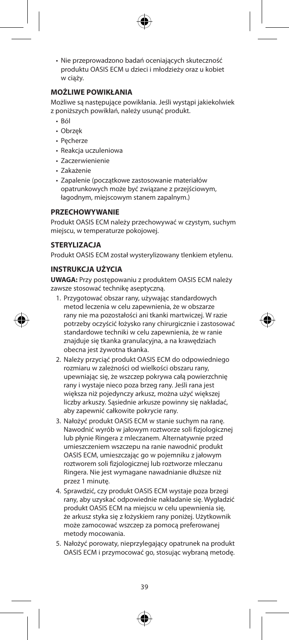

• Nie przeprowadzono badań oceniających skuteczność produktu OASIS ECM u dzieci i młodzieży oraz u kobiet w ciąży.

### **MOŻLIWE POWIKŁANIA**

Możliwe są następujące powikłania. Jeśli wystąpi jakiekolwiek z poniższych powikłań, należy usunąć produkt.

- Ból
- Obrzęk
- Pęcherze
- Reakcja uczuleniowa
- Zaczerwienienie
- Zakażenie
- Zapalenie (początkowe zastosowanie materiałów opatrunkowych może być związane z przejściowym, łagodnym, miejscowym stanem zapalnym.)

#### **PRZECHOWYWANIE**

Produkt OASIS ECM należy przechowywać w czystym, suchym miejscu, w temperaturze pokojowej.

#### **STERYLIZACJA**

Produkt OASIS ECM został wysterylizowany tlenkiem etylenu.

#### **INSTRUKCJA UŻYCIA**

**UWAGA:** Przy postępowaniu z produktem OASIS ECM należy zawsze stosować technikę aseptyczną.

- 1. Przygotować obszar rany, używając standardowych metod leczenia w celu zapewnienia, że w obszarze rany nie ma pozostałości ani tkanki martwiczej. W razie potrzeby oczyścić łożysko rany chirurgicznie i zastosować standardowe techniki w celu zapewnienia, że w ranie znajduje się tkanka granulacyjna, a na krawędziach obecna jest żywotna tkanka.
- 2. Należy przyciąć produkt OASIS ECM do odpowiedniego rozmiaru w zależności od wielkości obszaru rany, upewniając się, że wszczep pokrywa całą powierzchnię rany i wystaje nieco poza brzeg rany. Jeśli rana jest większa niż pojedynczy arkusz, można użyć większej liczby arkuszy. Sąsiednie arkusze powinny się nakładać, aby zapewnić całkowite pokrycie rany.
- 3. Nałożyć produkt OASIS ECM w stanie suchym na ranę. Nawodnić wyrób w jałowym roztworze soli fizjologicznej lub płynie Ringera z mleczanem. Alternatywnie przed umieszczeniem wszczepu na ranie nawodnić produkt OASIS ECM, umieszczając go w pojemniku z jałowym roztworem soli fizjologicznej lub roztworze mleczanu Ringera. Nie jest wymagane nawadnianie dłuższe niż przez 1 minutę.
- 4. Sprawdzić, czy produkt OASIS ECM wystaje poza brzegi rany, aby uzyskać odpowiednie nakładanie się. Wygładzić produkt OASIS ECM na miejscu w celu upewnienia się, że arkusz styka się z łożyskiem rany poniżej. Użytkownik może zamocować wszczep za pomocą preferowanej metody mocowania.
- 5. Nałożyć porowaty, nieprzylegający opatrunek na produkt OASIS ECM i przymocować go, stosując wybraną metodę.



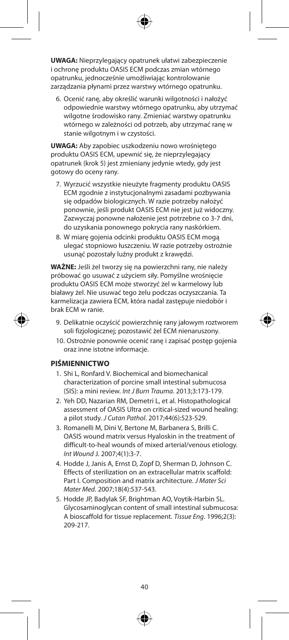

**UWAGA:** Nieprzylegający opatrunek ułatwi zabezpieczenie i ochronę produktu OASIS ECM podczas zmian wtórnego opatrunku, jednocześnie umożliwiając kontrolowanie zarządzania płynami przez warstwy wtórnego opatrunku.

6. Ocenić ranę, aby określić warunki wilgotności i nałożyć odpowiednie warstwy wtórnego opatrunku, aby utrzymać wilgotne środowisko rany. Zmieniać warstwy opatrunku wtórnego w zależności od potrzeb, aby utrzymać ranę w stanie wilgotnym i w czystości.

**UWAGA:** Aby zapobiec uszkodzeniu nowo wrośniętego produktu OASIS ECM, upewnić się, że nieprzylegający opatrunek (krok 5) jest zmieniany jedynie wtedy, gdy jest gotowy do oceny rany.

- 7. Wyrzucić wszystkie nieużyte fragmenty produktu OASIS ECM zgodnie z instytucjonalnymi zasadami pozbywania się odpadów biologicznych. W razie potrzeby nałożyć ponownie, jeśli produkt OASIS ECM nie jest już widoczny. Zazwyczaj ponowne nałożenie jest potrzebne co 3-7 dni, do uzyskania ponownego pokrycia rany naskórkiem.
- 8. W miarę gojenia odcinki produktu OASIS ECM mogą ulegać stopniowo łuszczeniu. W razie potrzeby ostrożnie usunąć pozostały luźny produkt z krawędzi.

**WAŻNE:** Jeśli żel tworzy się na powierzchni rany, nie należy próbować go usuwać z użyciem siły. Pomyślne wrośnięcie produktu OASIS ECM może stworzyć żel w karmelowy lub białawy żel. Nie usuwać tego żelu podczas oczyszczania. Ta karmelizacja zawiera ECM, która nadal zastępuje niedobór i brak ECM w ranie.

- 9. Delikatnie oczyścić powierzchnię rany jałowym roztworem soli fizjologicznej; pozostawić żel ECM nienaruszony.
- 10. Ostrożnie ponownie ocenić ranę i zapisać postęp gojenia oraz inne istotne informacje.

#### **PIŚMIENNICTWO**

- 1. Shi L, Ronfard V. Biochemical and biomechanical characterization of porcine small intestinal submucosa (SIS): a mini review. *Int J Burn Trauma.* 2013;3:173-179.
- 2. Yeh DD, Nazarian RM, Demetri L, et al. Histopathological assessment of OASIS Ultra on critical-sized wound healing: a pilot study. *J Cutan Pathol*. 2017;44(6):523-529.
- 3. Romanelli M, Dini V, Bertone M, Barbanera S, Brilli C. OASIS wound matrix versus Hyaloskin in the treatment of difficult-to-heal wounds of mixed arterial/venous etiology. *Int Wound* J. 2007;4(1):3-7.
- 4. Hodde J, Janis A, Ernst D, Zopf D, Sherman D, Johnson C. Effects of sterilization on an extracellular matrix scaffold: Part I. Composition and matrix architecture. *J Mater Sci Mater Med*. 2007;18(4):537-543.
- 5. Hodde JP, Badylak SF, Brightman AO, Voytik-Harbin SL. Glycosaminoglycan content of small intestinal submucosa: A bioscaffold for tissue replacement. *Tissue Eng*. 1996;2(3): 209-217.





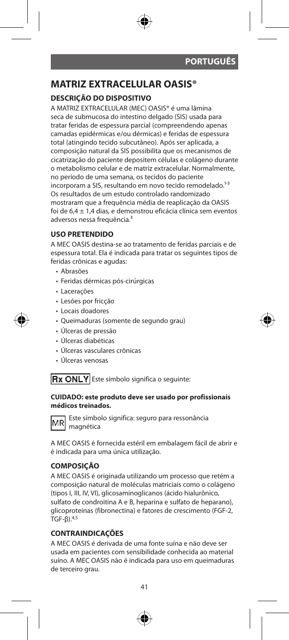

# **PORTUGUÊS**

## **MATRIZ EXTRACELULAR OASIS®**

## **DESCRIÇÃO DO DISPOSITIVO**

A MATRIZ EXTRACELULAR (MEC) OASIS® é uma lâmina seca de submucosa do intestino delgado (SIS) usada para tratar feridas de espessura parcial (compreendendo apenas camadas epidérmicas e/ou dérmicas) e feridas de espessura total (atingindo tecido subcutâneo). Após ser aplicada, a composição natural da SIS possibilita que os mecanismos de cicatrização do paciente depositem células e colágeno durante o metabolismo celular e de matriz extracelular. Normalmente, no período de uma semana, os tecidos do paciente incorporam a SIS, resultando em novo tecido remodelado.<sup>1-3</sup> Os resultados de um estudo controlado randomizado mostraram que a frequência média de reaplicação da OASIS foi de 6,4 ± 1,4 dias, e demonstrou eficácia clínica sem eventos adversos nessa frequência.<sup>3</sup>

### **USO PRETENDIDO**

A MEC OASIS destina-se ao tratamento de feridas parciais e de espessura total. Ela é indicada para tratar os seguintes tipos de feridas crônicas e agudas:

- Abrasões
- Feridas dérmicas pós-cirúrgicas
- Lacerações
- Lesões por fricção
- Locais doadores
- Queimaduras (somente de segundo grau)
- Úlceras de pressão
- Úlceras diabéticas
- Úlceras vasculares crônicas
- Úlceras venosas

**Rx ONLY** Este símbolo significa o seguinte:

#### **CUIDADO: este produto deve ser usado por profissionais médicos treinados.**

 Este símbolo significa: seguro para ressonância lmr magnética

A MEC OASIS é fornecida estéril em embalagem fácil de abrir e é indicada para uma única utilização.

## **COMPOSIÇÃO**

A MEC OASIS é originada utilizando um processo que retém a composição natural de moléculas matriciais como o colágeno (tipos I, III, IV, VI), glicosaminoglicanos (ácido hialurônico, sulfato de condroitina A e B, heparina e sulfato de heparano), glicoproteínas (fibronectina) e fatores de crescimento (FGF-2, TGF-β).4,5

### **CONTRAINDICAÇÕES**

A MEC OASIS é derivada de uma fonte suína e não deve ser usada em pacientes com sensibilidade conhecida ao material suíno. A MEC OASIS não é indicada para uso em queimaduras de terceiro grau.





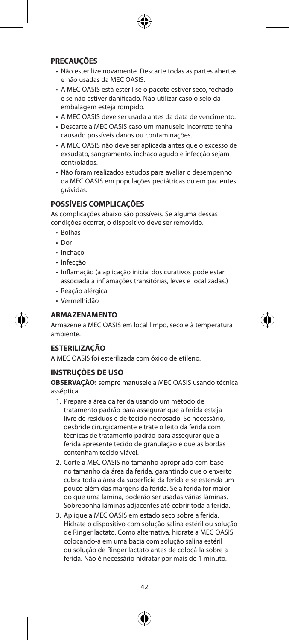

## **PRECAUÇÕES**

- Não esterilize novamente. Descarte todas as partes abertas e não usadas da MEC OASIS.
- A MEC OASIS está estéril se o pacote estiver seco, fechado e se não estiver danificado. Não utilizar caso o selo da embalagem esteja rompido.
- A MEC OASIS deve ser usada antes da data de vencimento.
- Descarte a MEC OASIS caso um manuseio incorreto tenha causado possíveis danos ou contaminações.
- A MEC OASIS não deve ser aplicada antes que o excesso de exsudato, sangramento, inchaço agudo e infecção sejam controlados.
- Não foram realizados estudos para avaliar o desempenho da MEC OASIS em populações pediátricas ou em pacientes grávidas.

### **POSSÍVEIS COMPLICAÇÕES**

As complicações abaixo são possíveis. Se alguma dessas condições ocorrer, o dispositivo deve ser removido.

- Bolhas
- Dor
- Inchaço
- Infecção
- Inflamação (a aplicação inicial dos curativos pode estar associada a inflamações transitórias, leves e localizadas.)
- Reação alérgica
- Vermelhidão



## **ARMAZENAMENTO**

Armazene a MEC OASIS em local limpo, seco e à temperatura ambiente.

## **ESTERILIZAÇÃO**

A MEC OASIS foi esterilizada com óxido de etileno.

## **INSTRUÇÕES DE USO**

**OBSERVAÇÃO:** sempre manuseie a MEC OASIS usando técnica asséptica.

- 1. Prepare a área da ferida usando um método de tratamento padrão para assegurar que a ferida esteja livre de resíduos e de tecido necrosado. Se necessário, desbride cirurgicamente e trate o leito da ferida com técnicas de tratamento padrão para assegurar que a ferida apresente tecido de granulação e que as bordas contenham tecido viável.
- 2. Corte a MEC OASIS no tamanho apropriado com base no tamanho da área da ferida, garantindo que o enxerto cubra toda a área da superfície da ferida e se estenda um pouco além das margens da ferida. Se a ferida for maior do que uma lâmina, poderão ser usadas várias lâminas. Sobreponha lâminas adjacentes até cobrir toda a ferida.
- 3. Aplique a MEC OASIS em estado seco sobre a ferida. Hidrate o dispositivo com solução salina estéril ou solução de Ringer lactato. Como alternativa, hidrate a MEC OASIS colocando-a em uma bacia com solução salina estéril ou solução de Ringer lactato antes de colocá-la sobre a ferida. Não é necessário hidratar por mais de 1 minuto.



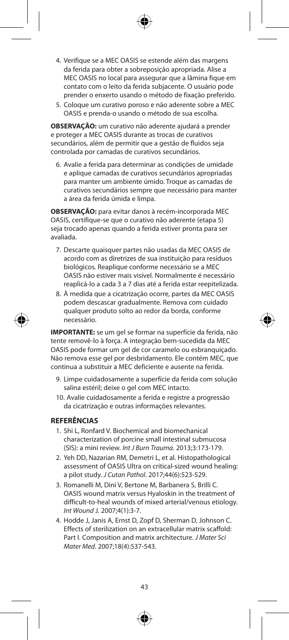

- 4. Verifique se a MEC OASIS se estende além das margens da ferida para obter a sobreposição apropriada. Alise a MEC OASIS no local para assegurar que a lâmina fique em contato com o leito da ferida subjacente. O usuário pode prender o enxerto usando o método de fixação preferido.
- 5. Coloque um curativo poroso e não aderente sobre a MEC OASIS e prenda-o usando o método de sua escolha.

**OBSERVAÇÃO:** um curativo não aderente ajudará a prender e proteger a MEC OASIS durante as trocas de curativos secundários, além de permitir que a gestão de fluidos seja controlada por camadas de curativos secundários.

6. Avalie a ferida para determinar as condições de umidade e aplique camadas de curativos secundários apropriadas para manter um ambiente úmido. Troque as camadas de curativos secundários sempre que necessário para manter a área da ferida úmida e limpa.

**OBSERVAÇÃO:** para evitar danos à recém-incorporada MEC OASIS, certifique-se que o curativo não aderente (etapa 5) seja trocado apenas quando a ferida estiver pronta para ser avaliada.

- 7. Descarte quaisquer partes não usadas da MEC OASIS de acordo com as diretrizes de sua instituição para resíduos biológicos. Reaplique conforme necessário se a MEC OASIS não estiver mais visível. Normalmente é necessário reaplicá-lo a cada 3 a 7 dias até a ferida estar reepitelizada.
- 8. À medida que a cicatrização ocorre, partes da MEC OASIS podem descascar gradualmente. Remova com cuidado qualquer produto solto ao redor da borda, conforme necessário.

**IMPORTANTE:** se um gel se formar na superfície da ferida, não tente removê-lo à força. A integração bem-sucedida da MEC OASIS pode formar um gel de cor caramelo ou esbranquiçado. Não remova esse gel por desbridamento. Ele contém MEC, que continua a substituir a MEC deficiente e ausente na ferida.

- 9. Limpe cuidadosamente a superfície da ferida com solução salina estéril; deixe o gel com MEC intacto.
- 10. Avalie cuidadosamente a ferida e registre a progressão da cicatrização e outras informações relevantes.

### **REFERÊNCIAS**

- 1. Shi L, Ronfard V. Biochemical and biomechanical characterization of porcine small intestinal submucosa (SIS): a mini review. *Int J Burn Trauma.* 2013;3:173-179.
- 2. Yeh DD, Nazarian RM, Demetri L, et al. Histopathological assessment of OASIS Ultra on critical-sized wound healing: a pilot study. *J Cutan Pathol*. 2017;44(6):523-529.
- 3. Romanelli M, Dini V, Bertone M, Barbanera S, Brilli C. OASIS wound matrix versus Hyaloskin in the treatment of difficult-to-heal wounds of mixed arterial/venous etiology. *Int Wound* J. 2007;4(1):3-7.
- 4. Hodde J, Janis A, Ernst D, Zopf D, Sherman D, Johnson C. Effects of sterilization on an extracellular matrix scaffold: Part I. Composition and matrix architecture. *J Mater Sci Mater Med*. 2007;18(4):537-543.





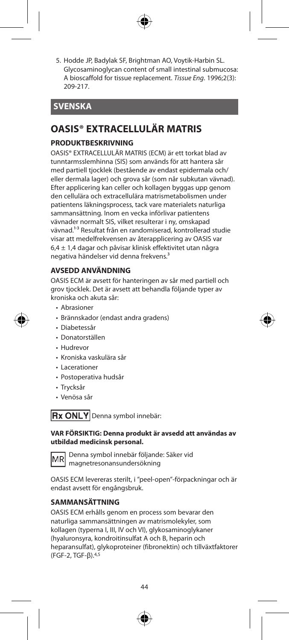- 
- 5. Hodde JP, Badylak SF, Brightman AO, Voytik-Harbin SL. Glycosaminoglycan content of small intestinal submucosa: A bioscaffold for tissue replacement. *Tissue Eng*. 1996;2(3): 209-217.

# **SVENSKA**

# **OASIS® EXTRACELLULÄR MATRIS**

## **PRODUKTBESKRIVNING**

OASIS® EXTRACELLULÄR MATRIS (ECM) är ett torkat blad av tunntarmsslemhinna (SIS) som används för att hantera sår med partiell tjocklek (bestående av endast epidermala och/ eller dermala lager) och grova sår (som når subkutan vävnad). Efter applicering kan celler och kollagen byggas upp genom den cellulära och extracellulära matrismetabolismen under patientens läkningsprocess, tack vare materialets naturliga sammansättning. Inom en vecka införlivar patientens vävnader normalt SIS, vilket resulterar i ny, omskapad vävnad.<sup>1-3</sup> Resultat från en randomiserad, kontrollerad studie visar att medelfrekvensen av återapplicering av OASIS var 6,4 ± 1,4 dagar och påvisar klinisk effektivitet utan några negativa händelser vid denna frekvens.<sup>3</sup>

## **AVSEDD ANVÄNDNING**

OASIS ECM är avsett för hanteringen av sår med partiell och grov tjocklek. Det är avsett att behandla följande typer av kroniska och akuta sår:

- Abrasioner
- Brännskador (endast andra gradens)
- Diabetessår
- Donatorställen
- Hudrevor
- Kroniska vaskulära sår
- Lacerationer
- Postoperativa hudsår
- Trycksår
- Venösa sår

Rx ONLY Denna symbol innebär:

**VAR FÖRSIKTIG: Denna produkt är avsedd att användas av utbildad medicinsk personal.**



 Denna symbol innebär följande: Säker vid magnetresonansundersökning

OASIS ECM levereras sterilt, i "peel-open"-förpackningar och är endast avsett för engångsbruk.

## **SAMMANSÄTTNING**

OASIS ECM erhålls genom en process som bevarar den naturliga sammansättningen av matrismolekyler, som kollagen (typerna I, III, IV och VI), glykosaminoglykaner (hyaluronsyra, kondroitinsulfat A och B, heparin och heparansulfat), glykoproteiner (fibronektin) och tillväxtfaktorer (FGF-2, TGF-β).4,5





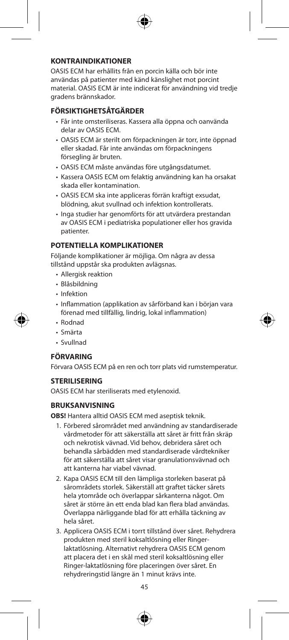

#### **KONTRAINDIKATIONER**

OASIS ECM har erhållits från en porcin källa och bör inte användas på patienter med känd känslighet mot porcint material. OASIS ECM är inte indicerat för användning vid tredje gradens brännskador.

## **FÖRSIKTIGHETSÅTGÄRDER**

- Får inte omsteriliseras. Kassera alla öppna och oanvända delar av OASIS ECM.
- OASIS ECM är sterilt om förpackningen är torr, inte öppnad eller skadad. Får inte användas om förpackningens försegling är bruten.
- OASIS ECM måste användas före utgångsdatumet.
- Kassera OASIS ECM om felaktig användning kan ha orsakat skada eller kontamination.
- OASIS ECM ska inte appliceras förrän kraftigt exsudat, blödning, akut svullnad och infektion kontrollerats.
- Inga studier har genomförts för att utvärdera prestandan av OASIS ECM i pediatriska populationer eller hos gravida patienter.

#### **POTENTIELLA KOMPLIKATIONER**

Följande komplikationer är möjliga. Om några av dessa tillstånd uppstår ska produkten avlägsnas.

- Allergisk reaktion
- Blåsbildning
- Infektion
- Inflammation (applikation av sårförband kan i början vara förenad med tillfällig, lindrig, lokal inflammation)
- Rodnad
- Smärta
- Svullnad

#### **FÖRVARING**

Förvara OASIS ECM på en ren och torr plats vid rumstemperatur.

#### **STERILISERING**

OASIS ECM har steriliserats med etylenoxid.

## **BRUKSANVISNING**

**OBS!** Hantera alltid OASIS ECM med aseptisk teknik.

- 1. Förbered sårområdet med användning av standardiserade vårdmetoder för att säkerställa att såret är fritt från skräp och nekrotisk vävnad. Vid behov, debridera såret och behandla sårbädden med standardiserade vårdtekniker för att säkerställa att såret visar granulationsvävnad och att kanterna har viabel vävnad.
- 2. Kapa OASIS ECM till den lämpliga storleken baserat på sårområdets storlek. Säkerställ att graftet täcker sårets hela ytområde och överlappar sårkanterna något. Om såret är större än ett enda blad kan flera blad användas. Överlappa närliggande blad för att erhålla täckning av hela såret.
- 3. Applicera OASIS ECM i torrt tillstånd över såret. Rehydrera produkten med steril koksaltlösning eller Ringerlaktatlösning. Alternativt rehydrera OASIS ECM genom att placera det i en skål med steril koksaltlösning eller Ringer-laktatlösning före placeringen över såret. En rehydreringstid längre än 1 minut krävs inte.





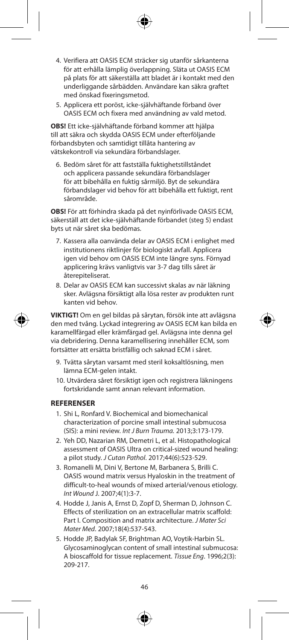

- 4. Verifiera att OASIS ECM sträcker sig utanför sårkanterna för att erhålla lämplig överlappning. Släta ut OASIS ECM på plats för att säkerställa att bladet är i kontakt med den underliggande sårbädden. Användare kan säkra graftet med önskad fixeringsmetod.
- 5. Applicera ett poröst, icke-självhäftande förband över OASIS ECM och fixera med användning av vald metod.

**OBS!** Ett icke-självhäftande förband kommer att hjälpa till att säkra och skydda OASIS ECM under efterföljande förbandsbyten och samtidigt tillåta hantering av vätskekontroll via sekundära förbandslager.

6. Bedöm såret för att fastställa fuktighetstillståndet och applicera passande sekundära förbandslager för att bibehålla en fuktig sårmiljö. Byt de sekundära förbandslager vid behov för att bibehålla ett fuktigt, rent sårområde.

**OBS!** För att förhindra skada på det nyinförlivade OASIS ECM, säkerställ att det icke-självhäftande förbandet (steg 5) endast byts ut när såret ska bedömas.

- 7. Kassera alla oanvända delar av OASIS ECM i enlighet med institutionens riktlinjer för biologiskt avfall. Applicera igen vid behov om OASIS ECM inte längre syns. Förnyad applicering krävs vanligtvis var 3-7 dag tills såret är återepiteliserat.
- 8. Delar av OASIS ECM kan successivt skalas av när läkning sker. Avlägsna försiktigt alla lösa rester av produkten runt kanten vid behov.

**VIKTIGT!** Om en gel bildas på sårytan, försök inte att avlägsna den med tvång. Lyckad integrering av OASIS ECM kan bilda en karamellfärgad eller krämfärgad gel. Avlägsna inte denna gel via debridering. Denna karamellisering innehåller ECM, som fortsätter att ersätta bristfällig och saknad ECM i såret.

- 9. Tvätta sårytan varsamt med steril koksaltlösning, men lämna ECM-gelen intakt.
- 10. Utvärdera såret försiktigt igen och registrera läkningens fortskridande samt annan relevant information.

#### **REFERENSER**

- 1. Shi L, Ronfard V. Biochemical and biomechanical characterization of porcine small intestinal submucosa (SIS): a mini review. *Int J Burn Trauma.* 2013;3:173-179.
- 2. Yeh DD, Nazarian RM, Demetri L, et al. Histopathological assessment of OASIS Ultra on critical-sized wound healing: a pilot study. *J Cutan Pathol*. 2017;44(6):523-529.
- 3. Romanelli M, Dini V, Bertone M, Barbanera S, Brilli C. OASIS wound matrix versus Hyaloskin in the treatment of difficult-to-heal wounds of mixed arterial/venous etiology. *Int Wound* J. 2007;4(1):3-7.
- 4. Hodde J, Janis A, Ernst D, Zopf D, Sherman D, Johnson C. Effects of sterilization on an extracellular matrix scaffold: Part I. Composition and matrix architecture. *J Mater Sci Mater Med*. 2007;18(4):537-543.
- 5. Hodde JP, Badylak SF, Brightman AO, Voytik-Harbin SL. Glycosaminoglycan content of small intestinal submucosa: A bioscaffold for tissue replacement. *Tissue Eng*. 1996;2(3): 209-217.



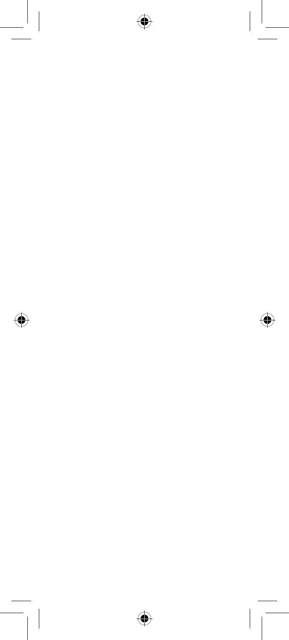



 $\begin{array}{c} \hline \end{array}$ 



 $\overline{\mathbb{R}}$